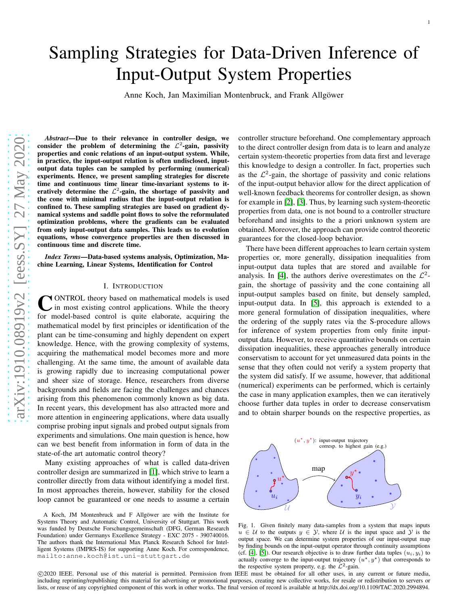# Sampling Strategies for Data-Driven Inference of Input-Output System Properties

Anne Koch, Jan Maximilian Montenbruck, and Frank Allgöwer

*Abstract*—Due to their relevance in controller design, we consider the problem of determining the  $\mathcal{L}^2$ -gain, passivity properties and conic relations of an input-output system. While, in practice, the input-output relation is often undisclosed, inputoutput data tuples can be sampled by performing (numerical) experiments. Hence, we present sampling strategies for discrete time and continuous time linear time-invariant systems to iteratively determine the  $\mathcal{L}^2$ -gain, the shortage of passivity and the cone with minimal radius that the input-output relation is confined to. These sampling strategies are based on gradient dynamical systems and saddle point flows to solve the reformulated optimization problems, where the gradients can be evaluate d from only input-output data samples. This leads us to evolution equations, whose convergence properties are then discussed in continuous time and discrete time.

*Index Terms*—Data-based systems analysis, Optimization, Machine Learning, Linear Systems, Identification for Control

# I. INTRODUCTION

CONTROL theory based on mathematical models is used<br>in most existing control applications. While the theory in most existing control applications. While the theory for model-based control is quite elaborate, acquiring the mathematical model by first principles or identification of the plant can be time-consuming and highly dependent on expert knowledge. Hence, with the growing complexity of systems, acquiring the mathematical model becomes more and more challenging. At the same time, the amount of available data is growing rapidly due to increasing computational power and sheer size of storage. Hence, researchers from diverse backgrounds and fields are facing the challenges and chances arising from this phenomenon commonly known as big data. In recent years, this development has also attracted more an d more attention in engineering applications, where data usually comprise probing input signals and probed output signals from experiments and simulations. One main question is hence, ho w can we best benefit from information in form of data in the state-of-the art automatic control theory?

Many existing approaches of what is called data-driven controller design are summarized in [\[1\]](#page-15-0), which strive to learn a controller directly from data without identifying a model first. In most approaches therein, however, stability for the closed loop cannot be guaranteed or one needs to assume a certain

controller structure beforehand. One complementary approach to the direct controller design from data is to learn and analyze certain system-theoretic properties from data first and leverage this knowledge to design a controller. In fact, properties such as the  $\mathcal{L}^2$ -gain, the shortage of passivity and conic relations of the input-output behavior allow for the direct application of well-known feedback theorems for controller design, as shown for example in [\[2\]](#page-15-1), [\[3\]](#page-15-2). Thus, by learning such system-theoretic properties from data, one is not bound to a controller structure beforehand and insights to the a priori unknown system are obtained. Moreover, the approach can provide control theoretic guarantees for the closed-loop behavior.

There have been different approaches to learn certain syste m properties or, more generally, dissipation inequalities from input-output data tuples that are stored and available for analysis. In [\[4\]](#page-15-3), the authors derive overestimates on the  $\mathcal{L}^2$ gain, the shortage of passivity and the cone containing all input-output samples based on finite, but densely sampled, input-output data. In [\[5\]](#page-15-4), this approach is extended to a more general formulation of dissipation inequalities, where the ordering of the supply rates via the S-procedure allows for inference of system properties from only finite inputoutput data. However, to receive quantitative bounds on certain dissipation inequalities, these approaches generally introduce conservatism to account for yet unmeasured data points in th e sense that they often could not verify a system property that the system did satisfy. If we assume, however, that additional (numerical) experiments can be performed, which is certainly the case in many application examples, then we can iteratively choose further data tuples in order to decrease conservatis m and to obtain sharper bounds on the respective properties, a s



<span id="page-0-0"></span>Fig. 1. Given finitely many data-samples from a system that maps inputs  $u \in \mathcal{U}$  to the outputs  $y \in \mathcal{Y}$ , where  $\mathcal{U}$  is the input space and  $\mathcal{Y}$  is the output space. We can determine system properties of our input-output map by finding bounds on the input-output operator through continuity assumptions (cf. [\[4\]](#page-15-3), [\[5\]](#page-15-4)). Our research objective is to draw further data tuples  $(u_i, y_i)$  to actually converge to the input-output trajectory  $(u^*, y^*)$  that corresponds to the respective system property, e.g. the  $\mathcal{L}^2$ -gain.

 c 2020 IEEE. Personal use of this material is permitted. Permission from IEEE must be obtained for all other uses, in any current or future media, including reprinting/republishing this material for advertising or promotional purposes, creating new collective works, for resale or redistribution to servers or lists, or reuse of any copyrighted component of this work in other works. The final version of record is available at http://dx.doi.org/10.1109/TAC.2020.2994894.

A Koch, JM Montenbruck and  $F$  Allgower are with the Institute for Systems Theory and Automatic Control, University of Stuttgart. This work was funded by Deutsche Forschungsgemeinschaft (DFG, German Research Foundation) under Germanys Excellence Strategy - EXC 2075 - 390740016. The authors thank the International Max Planck Research School for Intelligent Systems (IMPRS-IS) for supporting Anne Koch. For correspondence, mailto:anne.koch@ist.uni-stuttgart.de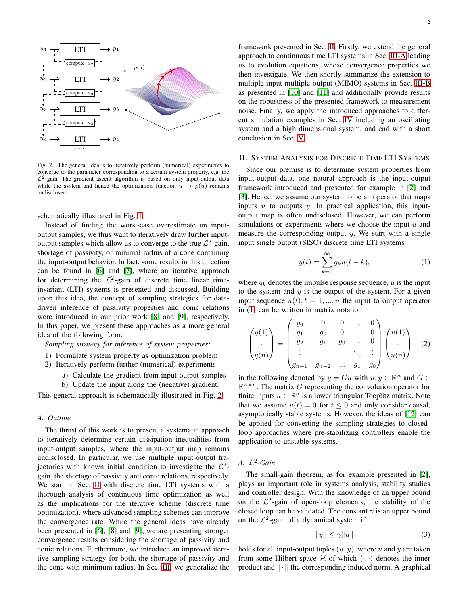

<span id="page-1-0"></span>Fig. 2. The general idea is to iteratively perform (numerical) experiments to converge to the parameter corresponding to a certain system property, e.g. the  $\mathcal{L}^2$ -gain. The gradient ascent algorithm is based on only input-output data while the system and hence the optimization function  $u \mapsto \rho(u)$  remains undisclosed.

schematically illustrated in Fig. [1.](#page-0-0)

Instead of finding the worst-case overestimate on inputoutput samples, we thus want to iteratively draw further inputoutput samples which allow us to converge to the true  $\mathcal{L}^2$ -gain, shortage of passivity, or minimal radius of a cone containing the input-output behavior. In fact, some results in this direction can be found in [\[6\]](#page-15-5) and [\[7\]](#page-15-6), where an iterative approach for determining the  $\mathcal{L}^2$ -gain of discrete time linear timeinvariant (LTI) systems is presented and discussed. Building upon this idea, the concept of sampling strategies for datadriven inference of passivity properties and conic relations were introduced in our prior work [\[8\]](#page-15-7) and [\[9\]](#page-15-8), respectively. In this paper, we present these approaches as a more general idea of the following form:

*Sampling strategy for inference of system properties:*

- 1) Formulate system property as optimization problem
- 2) Iteratively perform further (numerical) experiments
	- a) Calculate the gradient from input-output samples
	- b) Update the input along the (negative) gradient.

This general approach is schematically illustrated in Fig. [2.](#page-1-0)

#### *A. Outline*

The thrust of this work is to present a systematic approach to iteratively determine certain dissipation inequalities from input-output samples, where the input-output map remains undisclosed. In particular, we use multiple input-output trajectories with known initial condition to investigate the  $\mathcal{L}^2$ gain, the shortage of passivity and conic relations, respectively. We start in Sec. [II](#page-1-1) with discrete time LTI systems with a thorough analysis of continuous time optimization as well as the implications for the iterative scheme (discrete time optimization), where advanced sampling schemes can improve the convergence rate. While the general ideas have already been presented in [\[6\]](#page-15-5), [\[8\]](#page-15-7) and [\[9\]](#page-15-8), we are presenting stronger convergence results considering the shortage of passivity and conic relations. Furthermore, we introduce an improved iterative sampling strategy for both, the shortage of passivity and the cone with minimum radius. In Sec. [III,](#page-10-0) we generalize the framework presented in Sec. [II.](#page-1-1) Firstly, we extend the general approach to continuous time LTI systems in Sec. [III-A](#page-10-1) leading us to evolution equations, whose convergence properties we then investigate. We then shortly summarize the extension to multiple input multiple output (MIMO) systems in Sec. [III-B](#page-12-0) as presented in [\[10\]](#page-15-9) and [\[11\]](#page-15-10) and additionally provide results on the robustness of the presented framework to measurement noise. Finally, we apply the introduced approaches to different simulation examples in Sec. [IV](#page-13-0) including an oscillating system and a high dimensional system, and end with a short conclusion in Sec. [V.](#page-15-11)

## <span id="page-1-1"></span>II. SYSTEM ANALYSIS FOR DISCRETE TIME LTI SYSTEMS

Since our premise is to determine system properties from input-output data, one natural approach is the input-output framework introduced and presented for example in [\[2\]](#page-15-1) and [\[3\]](#page-15-2). Hence, we assume our system to be an operator that maps inputs  $u$  to outputs  $y$ . In practical application, this inputoutput map is often undisclosed. However, we can perform simulations or experiments where we choose the input  $u$  and measure the corresponding output  $y$ . We start with a single input single output (SISO) discrete time LTI systems

<span id="page-1-4"></span><span id="page-1-2"></span>
$$
y(t) = \sum_{k=0}^{\infty} g_k u(t - k),
$$
 (1)

where  $q_k$  denotes the impulse response sequence, u is the input to the system and  $y$  is the output of the system. For a given input sequence  $u(t)$ ,  $t = 1, ..., n$  the input to output operator in [\(1\)](#page-1-2) can be written in matrix notation

$$
\begin{pmatrix} y(1) \\ \vdots \\ y(n) \end{pmatrix} = \begin{pmatrix} g_0 & 0 & 0 & \dots & 0 \\ g_1 & g_0 & 0 & \dots & 0 \\ g_2 & g_1 & g_0 & \dots & 0 \\ \vdots & & & \ddots & \vdots \\ g_{n-1} & g_{n-2} & \dots & g_1 & g_0 \end{pmatrix} \begin{pmatrix} u(1) \\ \vdots \\ u(n) \end{pmatrix} \quad (2)
$$

in the following denoted by  $y = Gu$  with  $u, y \in \mathbb{R}^n$  and  $G \in$  $\mathbb{R}^{n \times n}$ . The matrix G representing the convolution operator for finite inputs  $u \in \mathbb{R}^n$  is a lower triangular Toeplitz matrix. Note that we assume  $u(t) = 0$  for  $t \le 0$  and only consider causal, asymptotically stable systems. However, the ideas of [\[12\]](#page-15-12) can be applied for converting the sampling strategies to closedloop approaches where pre-stabilizing controllers enable the application to unstable systems.

# *A.* L 2 *-Gain*

The small-gain theorem, as for example presented in [\[2\]](#page-15-1), plays an important role in systems analysis, stability studies and controller design. With the knowledge of an upper bound on the  $\mathcal{L}^2$ -gain of open-loop elements, the stability of the closed loop can be validated. The constant  $\gamma$  is an upper bound on the  $\mathcal{L}^2$ -gain of a dynamical system if

<span id="page-1-3"></span>
$$
||y|| \le \gamma ||u|| \tag{3}
$$

holds for all input-output tuples  $(u, y)$ , where u and y are taken from some Hilbert space H of which  $\langle \cdot, \cdot \rangle$  denotes the inner product and  $\|\cdot\|$  the corresponding induced norm. A graphical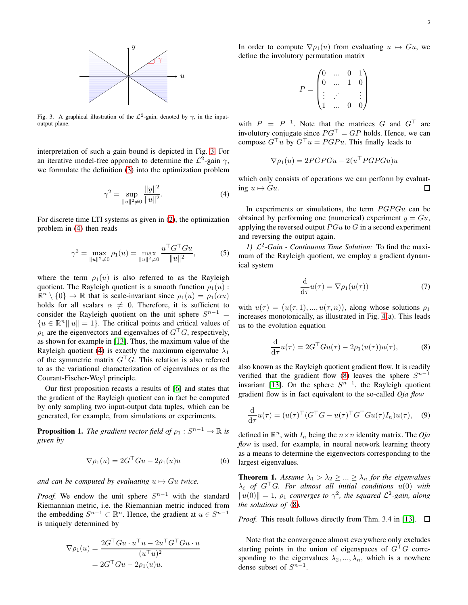

<span id="page-2-0"></span>Fig. 3. A graphical illustration of the  $\mathcal{L}^2$ -gain, denoted by  $\gamma$ , in the inputoutput plane.

interpretation of such a gain bound is depicted in Fig. [3.](#page-2-0) For an iterative model-free approach to determine the  $\mathcal{L}^2$ -gain  $\gamma$ , we formulate the definition [\(3\)](#page-1-3) into the optimization problem

$$
\gamma^2 = \sup_{\|u\|^2 \neq 0} \frac{\|y\|^2}{\|u\|^2}.
$$
 (4)

For discrete time LTI systems as given in [\(2\)](#page-1-4), the optimization problem in [\(4\)](#page-2-1) then reads

$$
\gamma^2 = \max_{\|u\|^2 \neq 0} \rho_1(u) = \max_{\|u\|^2 \neq 0} \frac{u^\top G^\top G u}{\|u\|^2},\tag{5}
$$

where the term  $\rho_1(u)$  is also referred to as the Rayleigh quotient. The Rayleigh quotient is a smooth function  $\rho_1(u)$ :  $\mathbb{R}^n \setminus \{0\} \to \mathbb{R}$  that is scale-invariant since  $\rho_1(u) = \rho_1(\alpha u)$ holds for all scalars  $\alpha \neq 0$ . Therefore, it is sufficient to consider the Rayleigh quotient on the unit sphere  $S^{n-1}$  =  ${u \in \mathbb{R}^n \|\Vert u\Vert = 1}.$  The critical points and critical values of  $\rho_1$  are the eigenvectors and eigenvalues of  $G<sup>T</sup>G$ , respectively, as shown for example in [\[13\]](#page-15-13). Thus, the maximum value of the Rayleigh quotient [\(4\)](#page-2-1) is exactly the maximum eigenvalue  $\lambda_1$ of the symmetric matrix  $G<sup>T</sup>G$ . This relation is also referred to as the variational characterization of eigenvalues or as the Courant-Fischer-Weyl principle.

Our first proposition recasts a results of [\[6\]](#page-15-5) and states that the gradient of the Rayleigh quotient can in fact be computed by only sampling two input-output data tuples, which can be generated, for example, from simulations or experiments.

**Proposition 1.** The gradient vector field of  $\rho_1: S^{n-1} \to \mathbb{R}$  is *given by*

$$
\nabla \rho_1(u) = 2G^{\top}Gu - 2\rho_1(u)u \tag{6}
$$

*and can be computed by evaluating*  $u \mapsto Gu$  *twice.* 

*Proof.* We endow the unit sphere  $S^{n-1}$  with the standard Riemannian metric, i.e. the Riemannian metric induced from the embedding  $S^{n-1} \subset \mathbb{R}^n$ . Hence, the gradient at  $u \in S^{n-1}$ is uniquely determined by

$$
\nabla \rho_1(u) = \frac{2G^{\top}Gu \cdot u^{\top}u - 2u^{\top}G^{\top}Gu \cdot u}{(u^{\top}u)^2}
$$

$$
= 2G^{\top}Gu - 2\rho_1(u)u.
$$

In order to compute  $\nabla \rho_1(u)$  from evaluating  $u \mapsto Gu$ , we define the involutory permutation matrix

$$
P = \begin{pmatrix} 0 & \dots & 0 & 1 \\ 0 & \dots & 1 & 0 \\ \vdots & \vdots & & \vdots \\ 1 & \dots & 0 & 0 \end{pmatrix}
$$

with  $P = P^{-1}$ . Note that the matrices G and  $G^{\top}$  are involutory conjugate since  $PG<sup>T</sup> = GP$  holds. Hence, we can compose  $G^{\top}u$  by  $G^{\top}u = PGPu$ . This finally leads to

$$
\nabla \rho_1(u) = 2PGPGu - 2(u^\top PGPGu)u
$$

<span id="page-2-1"></span>which only consists of operations we can perform by evaluating  $u \mapsto Gu$ .  $\Box$ 

In experiments or simulations, the term  $PGPGu$  can be obtained by performing one (numerical) experiment  $y = Gu$ , applying the reversed output  $PGu$  to G in a second experiment and reversing the output again.

<span id="page-2-3"></span>1)  $\mathcal{L}^2$ -*Gain* - *Continuous Time Solution:* To find the maximum of the Rayleigh quotient, we employ a gradient dynamical system

<span id="page-2-2"></span>
$$
\frac{\mathrm{d}}{\mathrm{d}\tau}u(\tau) = \nabla \rho_1(u(\tau))\tag{7}
$$

with  $u(\tau) = (u(\tau, 1), ..., u(\tau, n))$ , along whose solutions  $\rho_1$ increases monotonically, as illustrated in Fig. [4\(](#page-3-0)a). This leads us to the evolution equation

$$
\frac{\mathrm{d}}{\mathrm{d}\tau}u(\tau) = 2G^{\top}Gu(\tau) - 2\rho_1(u(\tau))u(\tau),\tag{8}
$$

also known as the Rayleigh quotient gradient flow. It is readily verified that the gradient flow [\(8\)](#page-2-2) leaves the sphere  $S^{n-1}$ invariant [\[13\]](#page-15-13). On the sphere  $S^{n-1}$ , the Rayleigh quotient gradient flow is in fact equivalent to the so-called *Oja flow*

$$
\frac{\mathrm{d}}{\mathrm{d}\tau}u(\tau) = (u(\tau)^{\top} (G^{\top} G - u(\tau)^{\top} G^{\top} G u(\tau) I_n) u(\tau), \quad (9)
$$

defined in  $\mathbb{R}^n$ , with  $I_n$  being the  $n \times n$  identity matrix. The *Oja flow* is used, for example, in neural network learning theory as a means to determine the eigenvectors corresponding to the largest eigenvalues.

<span id="page-2-4"></span>**Theorem 1.** Assume  $\lambda_1 > \lambda_2 \geq ... \geq \lambda_n$  for the eigenvalues  $\lambda_i$  *of*  $G^{\top}G$ *. For almost all initial conditions*  $u(0)$  *with*  $||u(0)|| = 1$ ,  $\rho_1$  *converges to*  $\gamma^2$ , the squared  $\mathcal{L}^2$ -gain, along *the solutions of* [\(8\)](#page-2-2)*.*

*Proof.* This result follows directly from Thm. 3.4 in [\[13\]](#page-15-13).  $\square$ 

Note that the convergence almost everywhere only excludes starting points in the union of eigenspaces of  $G<sup>T</sup>G$  corresponding to the eigenvalues  $\lambda_2, ..., \lambda_n$ , which is a nowhere dense subset of  $S^{n-1}$ .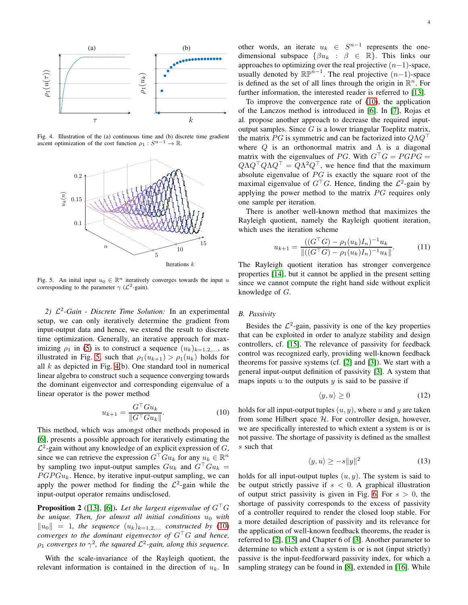

Fig. 4. Illustration of the (a) continuous time and (b) discrete time gradient ascent optimization of the cost function  $\rho_1: S^{n-1} \to \mathbb{R}$ .

<span id="page-3-0"></span>

<span id="page-3-1"></span>Fig. 5. An inital input  $u_0 \in \mathbb{R}^n$  iteratively converges towards the input u corresponding to the parameter  $\gamma$  ( $\mathcal{L}^2$ -gain).

2)  $\mathcal{L}^2$ -*Gain - Discrete Time Solution:* In an experimental setup, we can only iteratively determine the gradient from input-output data and hence, we extend the result to discrete time optimization. Generally, an iterative approach for maximizing  $\rho_1$  in [\(5\)](#page-2-3) is to construct a sequence  $(u_k)_{k=1,2,...}$ , as illustrated in Fig. [5,](#page-3-1) such that  $\rho_1(u_{k+1}) > \rho_1(u_k)$  holds for all  $k$  as depicted in Fig. [4\(](#page-3-0)b). One standard tool in numerical linear algebra to construct such a sequence converging towards the dominant eigenvector and corresponding eigenvalue of a linear operator is the power method

$$
u_{k+1} = \frac{G^{\top}Gu_k}{\|G^{\top}Gu_k\|}.
$$
 (10)

This method, which was amongst other methods proposed in [\[6\]](#page-15-5), presents a possible approach for iteratively estimating the  $\mathcal{L}^2$ -gain without any knowledge of an explicit expression of G, since we can retrieve the expression  $G^{\top}Gu_k$  for any  $u_k \in \mathbb{R}^n$ by sampling two input-output samples  $Gu_k$  and  $G^{\top}Gu_k =$  $PGPGu_k$ . Hence, by iterative input-output sampling, we can apply the power method for finding the  $\mathcal{L}^2$ -gain while the input-output operator remains undisclosed.

**Proposition 2** ([\[13\]](#page-15-13), [\[6\]](#page-15-5)). Let the largest eigenvalue of  $G^{\top}G$ *be unique. Then, for almost all initial conditions*  $u_0$  *with*  $\|u_0\| = 1$ , the sequence  $(u_k)_{k=1,2,...}$  constructed by [\(10\)](#page-3-2) *converges to the dominant eigenvector of* G⊤G *and hence,*  $\rho_1$  *converges to*  $\gamma^2$ , the squared  $\mathcal{L}^2$ -gain, along this sequence.

With the scale-invariance of the Rayleigh quotient, the relevant information is contained in the direction of  $u_k$ . In other words, an iterate  $u_k \in S^{n-1}$  represents the onedimensional subspace  $\{\beta u_k : \beta \in \mathbb{R}\}.$  This links our approaches to optimizing over the real projective  $(n-1)$ -space, usually denoted by  $\mathbb{RP}^{n-1}$ . The real projective  $(n-1)$ -space is defined as the set of all lines through the origin in  $\mathbb{R}^n$ . For further information, the interested reader is referred to [\[13\]](#page-15-13).

To improve the convergence rate of [\(10\)](#page-3-2), the application of the Lanczos method is introduced in [\[6\]](#page-15-5). In [\[7\]](#page-15-6), Rojas et al. propose another approach to decrease the required inputoutput samples. Since  $G$  is a lower triangular Toeplitz matrix, the matrix PG is symmetric and can be factorized into  $Q\Lambda Q^{\top}$ where  $Q$  is an orthonormal matrix and  $\Lambda$  is a diagonal matrix with the eigenvalues of PG. With  $G<sup>T</sup>G = PGPG =$  $Q\Lambda Q^{\top}Q\Lambda Q^{\top} = Q\Lambda^2 Q^{\top}$ , we hence find that the maximum absolute eigenvalue of  $PG$  is exactly the square root of the maximal eigenvalue of  $G^{\top}G$ . Hence, finding the  $\mathcal{L}^2$ -gain by applying the power method to the matrix  $PG$  requires only one sample per iteration.

There is another well-known method that maximizes the Rayleigh quotient, namely the Rayleigh quotient iteration, which uses the iteration scheme

$$
u_{k+1} = \frac{((G^{\top}G) - \rho_1(u_k)I_n)^{-1}u_k}{\|((G^{\top}G) - \rho_1(u_k)I_n)^{-1}u_k\|}.
$$
 (11)

The Rayleigh quotient iteration has stronger convergence properties [\[14\]](#page-15-14), but it cannot be applied in the present setting since we cannot compute the right hand side without explicit knowledge of G.

# *B. Passivity*

Besides the  $\mathcal{L}^2$ -gain, passivity is one of the key properties that can be exploited in order to analyze stability and design controllers, cf. [\[15\]](#page-15-15). The relevance of passivity for feedback control was recognized early, providing well-known feedback theorems for passive systems (cf. [\[2\]](#page-15-1) and [\[3\]](#page-15-2)). We start with a general input-output definition of passivity [\[3\]](#page-15-2). A system that maps inputs  $u$  to the outputs  $y$  is said to be passive if

$$
\langle y, u \rangle \ge 0 \tag{12}
$$

<span id="page-3-2"></span>holds for all input-output tuples  $(u, y)$ , where u and y are taken from some Hilbert space  $H$ . For controller design, however, we are specifically interested to which extent a system is or is not passive. The shortage of passivity is defined as the smallest s such that

<span id="page-3-3"></span>
$$
\langle y, u \rangle \ge -s \|y\|^2 \tag{13}
$$

holds for all input-output tuples  $(u, y)$ . The system is said to be output strictly passive if  $s < 0$ . A graphical illustration of output strict passivity is given in Fig. [6.](#page-4-0) For  $s > 0$ , the shortage of passivity corresponds to the excess of passivity of a controller required to render the closed loop stable. For a more detailed description of passivity and its relevance for the application of well-known feedback theorems, the reader is referred to [\[2\]](#page-15-1), [\[15\]](#page-15-15) and Chapter 6 of [\[3\]](#page-15-2). Another parameter to determine to which extent a system is or is not (input strictly) passive is the input-feedforward passivity index, for which a sampling strategy can be found in [\[8\]](#page-15-7), extended in [\[16\]](#page-15-16). While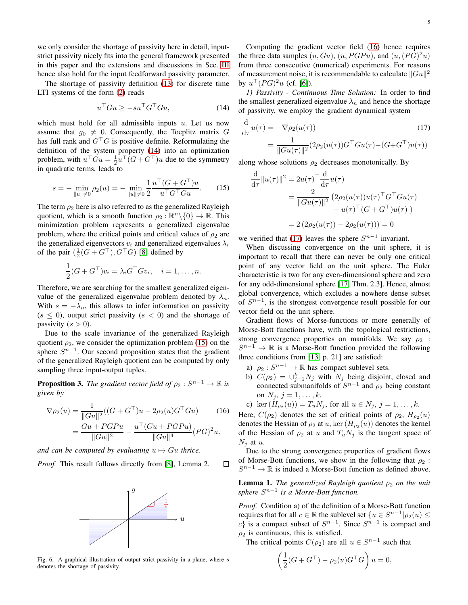we only consider the shortage of passivity here in detail, inputstrict passivity nicely fits into the general framework presented in this paper and the extensions and discussions in Sec. [III](#page-10-0) hence also hold for the input feedforward passivity parameter.

The shortage of passivity definition [\(13\)](#page-3-3) for discrete time LTI systems of the form [\(2\)](#page-1-4) reads

$$
u^{\top}Gu \ge -su^{\top}G^{\top}Gu,\tag{14}
$$

which must hold for all admissible inputs  $u$ . Let us now assume that  $g_0 \neq 0$ . Consequently, the Toeplitz matrix G has full rank and  $G<sup>T</sup>G$  is positive definite. Reformulating the definition of the system property [\(14\)](#page-4-1) into an optimization problem, with  $u^\top G u = \frac{1}{2} u^\top (G + G^\top) u$  due to the symmetry in quadratic terms, leads to

$$
s = -\min_{\|u\| \neq 0} \rho_2(u) = -\min_{\|u\| \neq 0} \frac{1}{2} \frac{u^\top (G + G^\top) u}{u^\top G^\top G u}.
$$
 (15)

The term  $\rho_2$  here is also referred to as the generalized Rayleigh quotient, which is a smooth function  $\rho_2 : \mathbb{R}^n \setminus \{0\} \to \mathbb{R}$ . This minimization problem represents a generalized eigenvalue problem, where the critical points and critical values of  $\rho_2$  are the generalized eigenvectors  $v_i$  and generalized eigenvalues  $\lambda_i$ of the pair  $(\frac{1}{2}(G + G^{\top}), G^{\top}G)$  [\[8\]](#page-15-7) defined by

$$
\frac{1}{2}(G + G^{\top})v_i = \lambda_i G^{\top} G v_i, \quad i = 1, \dots, n.
$$

Therefore, we are searching for the smallest generalized eigenvalue of the generalized eigenvalue problem denoted by  $\lambda_n$ . With  $s = -\lambda_n$ , this allows to infer information on passivity  $(s \leq 0)$ , output strict passivity  $(s < 0)$  and the shortage of passivity  $(s > 0)$ .

Due to the scale invariance of the generalized Rayleigh quotient  $\rho_2$ , we consider the optimization problem [\(15\)](#page-4-2) on the sphere  $S^{n-1}$ . Our second proposition states that the gradient of the generalized Rayleigh quotient can be computed by only sampling three input-output tuples.

**Proposition 3.** The gradient vector field of  $\rho_2: S^{n-1} \to \mathbb{R}$  is *given by*

$$
\nabla \rho_2(u) = \frac{1}{\|Gu\|^2}((G + G^\top)u - 2\rho_2(u)G^\top Gu) \tag{16}
$$

$$
= \frac{Gu + PGPu}{\|Gu\|^2} - \frac{u^{\top} (Gu + PGPu)}{\|Gu\|^4} (PG)^2 u.
$$

*and can be computed by evaluating*  $u \mapsto Gu$  *thrice.* 

*Proof.* This result follows directly from [\[8\]](#page-15-7), Lemma 2. 口



<span id="page-4-0"></span>Fig. 6. A graphical illustration of output strict passivity in a plane, where s denotes the shortage of passivity.

<span id="page-4-4"></span>

5

Computing the gradient vector field [\(16\)](#page-4-3) hence requires the three data samples  $(u, Gu), (u, PGPu)$ , and  $(u, (PG)^2u)$ from three consecutive (numerical) experiments. For reasons of measurement noise, it is recommendable to calculate  $||Gu||^2$ by  $u^{\top} (PG)^{2} u$  (cf. [\[6\]](#page-15-5)).

<span id="page-4-1"></span>*1) Passivity - Continuous Time Solution:* In order to find the smallest generalized eigenvalue  $\lambda_n$  and hence the shortage of passivity, we employ the gradient dynamical system

$$
\frac{\mathrm{d}}{\mathrm{d}\tau}u(\tau) = -\nabla\rho_2(u(\tau))\tag{17}
$$
\n
$$
= \frac{1}{\|Gu(\tau)\|^2} (2\rho_2(u(\tau))G^\top Gu(\tau) - (G + G^\top)u(\tau))
$$

<span id="page-4-2"></span>along whose solutions  $\rho_2$  decreases monotonically. By

$$
\frac{\mathrm{d}}{\mathrm{d}\tau} ||u(\tau)||^2 = 2u(\tau)^{\top} \frac{\mathrm{d}}{\mathrm{d}\tau} u(\tau)
$$
\n
$$
= \frac{2}{||Gu(\tau)||^2} \left( 2\rho_2(u(\tau))u(\tau)^{\top} G^{\top}Gu(\tau) - u(\tau)^{\top} (G + G^{\top})u(\tau) \right)
$$
\n
$$
= 2 \left( 2\rho_2(u(\tau)) - 2\rho_2(u(\tau)) \right) = 0
$$

we verified that [\(17\)](#page-4-4) leaves the sphere  $S^{n-1}$  invariant.

When discussing convergence on the unit sphere, it is important to recall that there can never be only one critical point of any vector field on the unit sphere. The Euler characteristic is two for any even-dimensional sphere and zero for any odd-dimensional sphere [\[17,](#page-15-17) Thm. 2.3]. Hence, almost global convergence, which excludes a nowhere dense subset of  $S^{n-1}$ , is the strongest convergence result possible for our vector field on the unit sphere.

Gradient flows of Morse-functions or more generally of Morse-Bott functions have, with the topological restrictions, strong convergence properties on manifolds. We say  $\rho_2$ :  $S^{n-1} \to \mathbb{R}$  is a Morse-Bott function provided the following three conditions from [\[13,](#page-15-13) p. 21] are satisfied:

- a)  $\rho_2: S^{n-1} \to \mathbb{R}$  has compact sublevel sets.
- b)  $C(\rho_2) = \bigcup_{j=1}^k N_j$  with  $N_j$  being disjoint, closed and connected submanifolds of  $S^{n-1}$  and  $\rho_2$  being constant on  $N_j$ ,  $j = 1, ..., k$ .
- c) ker  $(H_{\rho_2}(u)) = T_u N_j$ , for all  $u \in N_j$ ,  $j = 1, ..., k$ .

<span id="page-4-3"></span>Here,  $C(\rho_2)$  denotes the set of critical points of  $\rho_2$ ,  $H_{\rho_2}(u)$ denotes the Hessian of  $\rho_2$  at u, ker  $(H_{\rho_2}(u))$  denotes the kernel of the Hessian of  $\rho_2$  at u and  $T_u N_j$  is the tangent space of  $N_i$  at u.

Due to the strong convergence properties of gradient flows of Morse-Bott functions, we show in the following that  $\rho_2$ :  $S^{n-1} \to \mathbb{R}$  is indeed a Morse-Bott function as defined above.

<span id="page-4-5"></span>**Lemma 1.** *The generalized Rayleigh quotient*  $\rho_2$  *on the unit sphere*  $S^{n-1}$  *is a Morse-Bott function.* 

*Proof.* Condition a) of the definition of a Morse-Bott function requires that for all  $c \in \mathbb{R}$  the sublevel set  $\{u \in S^{n-1} | \rho_2(u) \leq$ c} is a compact subset of  $S^{n-1}$ . Since  $S^{n-1}$  is compact and  $\rho_2$  is continuous, this is satisfied.

The critical points  $C(\rho_2)$  are all  $u \in S^{n-1}$  such that

$$
\left(\frac{1}{2}(G + G^{\top}) - \rho_2(u)G^{\top}G\right)u = 0,
$$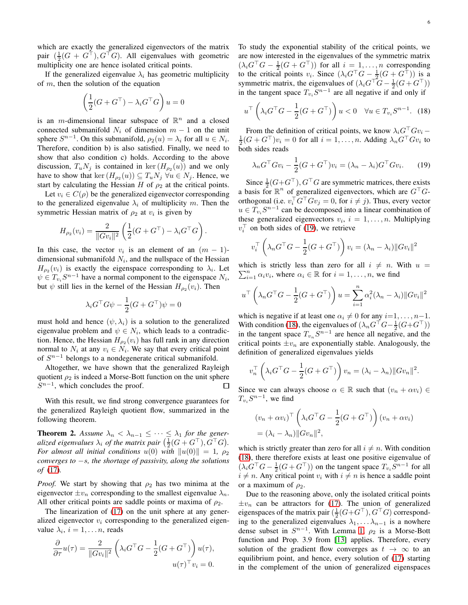which are exactly the generalized eigenvectors of the matrix pair  $(\frac{1}{2}(G + G^{\top}), G^{\top}G)$ . All eigenvalues with geometric multiplicity one are hence isolated critical points.

If the generalized eigenvalue  $\lambda_i$  has geometric multiplicity of  $m$ , then the solution of the equation

$$
\left(\frac{1}{2}(G + G^{\top}) - \lambda_i G^{\top} G\right)u = 0
$$

is an *m*-dimensional linear subspace of  $\mathbb{R}^n$  and a closed connected submanifold  $N_i$  of dimension  $m - 1$  on the unit sphere  $S^{n-1}$ . On this submanifold,  $\rho_2(u) = \lambda_i$  for all  $u \in N_i$ . Therefore, condition b) is also satisfied. Finally, we need to show that also condition c) holds. According to the above discussion,  $T_u N_j$  is contained in ker  $(H_{\rho_2}(u))$  and we only have to show that ker  $(H_{\rho_2}(u)) \subseteq T_u N_j \,\forall u \in N_j$ . Hence, we start by calculating the Hessian H of  $\rho_2$  at the critical points.

Let  $v_i \in C(\rho)$  be the generalized eigenvector corresponding to the generalized eigenvalue  $\lambda_i$  of multiplicity m. Then the symmetric Hessian matrix of  $\rho_2$  at  $v_i$  is given by

$$
H_{\rho_2}(v_i) = \frac{2}{\|Gv_i\|^2} \left( \frac{1}{2} (G + G^\top) - \lambda_i G^\top G \right).
$$

In this case, the vector  $v_i$  is an element of an  $(m - 1)$ dimensional submanifold  $N_i$ , and the nullspace of the Hessian  $H_{\rho_2}(v_i)$  is exactly the eigenspace corresponding to  $\lambda_i$ . Let  $\psi \in T_{v_i} S^{n-1}$  have a normal component to the eigenspace  $N_i$ , but  $\psi$  still lies in the kernel of the Hessian  $H_{\rho_2}(v_i)$ . Then

$$
\lambda_i G^{\top} G \psi - \frac{1}{2} (G + G^{\top}) \psi = 0
$$

must hold and hence  $(\psi, \lambda_i)$  is a solution to the generalized eigenvalue problem and  $\psi \in N_i$ , which leads to a contradiction. Hence, the Hessian  $H_{\rho_2}(v_i)$  has full rank in any direction normal to  $N_i$  at any  $v_i \in N_i$ . We say that every critical point of  $S^{n-1}$  belongs to a nondegenerate critical submanifold.

Altogether, we have shown that the generalized Rayleigh quotient  $\rho_2$  is indeed a Morse-Bott function on the unit sphere  $S^{n-1}$ , which concludes the proof.  $\Box$ 

With this result, we find strong convergence guarantees for the generalized Rayleigh quotient flow, summarized in the following theorem.

<span id="page-5-2"></span>**Theorem 2.** Assume  $\lambda_n < \lambda_{n-1} \leq \cdots \leq \lambda_1$  for the gener*alized eigenvalues*  $\lambda_i$  *of the matrix pair*  $\left(\frac{1}{2}(G+G^{\top}), G^{\top}G\right)$ . *For almost all initial conditions*  $u(0)$  *with*  $||u(0)|| = 1$ ,  $\rho_2$ *converges to* −s*, the shortage of passivity, along the solutions of* [\(17\)](#page-4-4)*.*

*Proof.* We start by showing that  $\rho_2$  has two minima at the eigenvector  $\pm v_n$  corresponding to the smallest eigenvalue  $\lambda_n$ . All other critical points are saddle points or maxima of  $\rho_2$ .

The linearization of [\(17\)](#page-4-4) on the unit sphere at any generalized eigenvector  $v_i$  corresponding to the generalized eigenvalue  $\lambda_i$ ,  $i = 1, \ldots n$ , reads

$$
\frac{\partial}{\partial \tau}u(\tau) = \frac{2}{\|Gv_i\|^2} \left(\lambda_i G^{\top} G - \frac{1}{2} (G + G^{\top})\right) u(\tau),
$$
  

$$
u(\tau)^{\top} v_i = 0.
$$

To study the exponential stability of the critical points, we are now interested in the eigenvalues of the symmetric matrix  $(\lambda_i G^{\top}G - \frac{1}{2}(G + G^{\top}))$  for all  $i = 1, \ldots, n$  corresponding to the critical points  $v_i$ . Since  $(\lambda_i G^{\top} G - \frac{1}{2} (G + G^{\top}))$  is a symmetric matrix, the eigenvalues of  $(\lambda_i G^{\top} G - \frac{1}{2}(G + G^{\top}))$ in the tangent space  $T_{v_i}S^{n-1}$  are all negative if and only if

<span id="page-5-1"></span>
$$
u^{\top} \left(\lambda_i G^{\top} G - \frac{1}{2} (G + G^{\top})\right) u < 0 \quad \forall u \in T_{v_i} S^{n-1}.\tag{18}
$$

From the definition of critical points, we know  $\lambda_i G^{\top} G v_i$  –  $\frac{1}{2}(G + G^{\top})v_i = 0$  for all  $i = 1, \dots, n$ . Adding  $\lambda_n G^{\top} G v_i$  to both sides reads

<span id="page-5-0"></span>
$$
\lambda_n G^{\top} G v_i - \frac{1}{2} (G + G^{\top}) v_i = (\lambda_n - \lambda_i) G^{\top} G v_i.
$$
 (19)

Since  $\frac{1}{2}(G + G^{\top})$ ,  $G^{\top}G$  are symmetric matrices, there exists a basis for  $\mathbb{R}^n$  of generalized eigenvectors, which are  $G^{\top}G$ orthogonal (i.e.  $v_i^\top G^\top G v_j = 0$ , for  $i \neq j$ ). Thus, every vector  $u \in T_{v_i} S^{n-1}$  can be decomposed into a linear combination of these generalized eigenvectors  $v_i$ ,  $i = 1, \ldots, n$ . Multiplying  $v_i^{\top}$  on both sides of [\(19\)](#page-5-0), we retrieve

$$
v_i^{\top} \left( \lambda_n G^{\top} G - \frac{1}{2} (G + G^{\top}) \right) v_i = (\lambda_n - \lambda_i) \| G v_i \|^2
$$

which is strictly less than zero for all  $i \neq n$ . With  $u =$  $\sum_{i=1}^{n} \alpha_i v_i$ , where  $\alpha_i \in \mathbb{R}$  for  $i = 1, \dots, n$ , we find

$$
u^{\top} \left(\lambda_n G^{\top} G - \frac{1}{2} (G + G^{\top})\right) u = \sum_{i=1}^n \alpha_i^2 (\lambda_n - \lambda_i) ||Gv_i||^2
$$

which is negative if at least one  $\alpha_i \neq 0$  for any  $i=1,\ldots, n-1$ . With condition [\(18\)](#page-5-1), the eigenvalues of  $(\lambda_n G^{\top}G - \frac{1}{2}(G + G^{\top}))$ in the tangent space  $T_{v_n} S^{n-1}$  are hence all negative, and the critical points  $\pm v_n$  are exponentially stable. Analogously, the definition of generalized eigenvalues yields

$$
v_n^{\top} \left(\lambda_i G^{\top} G - \frac{1}{2} (G + G^{\top})\right) v_n = (\lambda_i - \lambda_n) \|G v_n\|^2.
$$

Since we can always choose  $\alpha \in \mathbb{R}$  such that  $(v_n + \alpha v_i) \in$  $T_{v_i}S^{n-1}$ , we find

$$
(v_n + \alpha v_i)^{\top} \left(\lambda_i G^{\top} G - \frac{1}{2} (G + G^{\top})\right) (v_n + \alpha v_i)
$$
  
=  $(\lambda_i - \lambda_n) ||Gv_n||^2$ ,

which is strictly greater than zero for all  $i \neq n$ . With condition [\(18\)](#page-5-1), there therefore exists at least one positive eigenvalue of  $(\lambda_i G^{\top} G - \frac{1}{2}(G + G^{\top}))$  on the tangent space  $T_{v_i} S^{n-1}$  for all  $i \neq n$ . Any critical point  $v_i$  with  $i \neq n$  is hence a saddle point or a maximum of  $\rho_2$ .

Due to the reasoning above, only the isolated critical points  $\pm v_n$  can be attractors for [\(17\)](#page-4-4). The union of generalized eigenspaces of the matrix pair  $(\frac{1}{2}(G+G^\top), G^\top G)$  corresponding to the generalized eigenvalues  $\lambda_1, \ldots, \lambda_{n-1}$  is a nowhere dense subset in  $S^{n-1}$ . With Lemma [1,](#page-4-5)  $\rho_2$  is a Morse-Bott function and Prop. 3.9 from [\[13\]](#page-15-13) applies. Therefore, every solution of the gradient flow converges as  $t \to \infty$  to an equilibrium point, and hence, every solution of [\(17\)](#page-4-4) starting in the complement of the union of generalized eigenspaces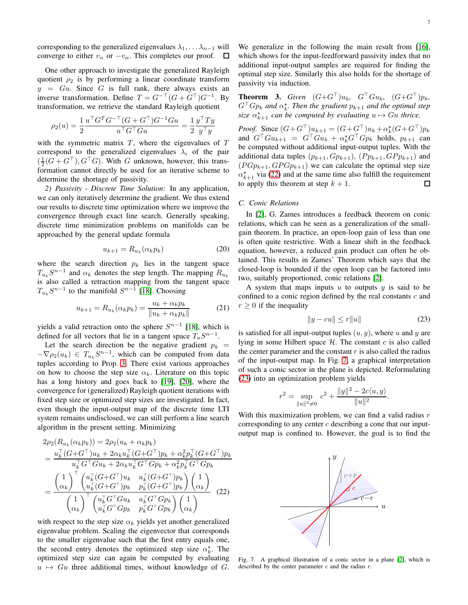corresponding to the generalized eigenvalues  $\lambda_1, \ldots, \lambda_{n-1}$  will converge to either  $v_n$  or  $-v_n$ . This completes our proof.  $\Box$ 

One other approach to investigate the generalized Rayleigh quotient  $\rho_2$  is by performing a linear coordinate transform  $y = Gu$ . Since G is full rank, there always exists an inverse transformation. Define  $T = G^{-\top} (G + G^{\top}) G^{-1}$ . By transformation, we retrieve the standard Rayleigh quotient

$$
\rho_2(u)=\frac{1}{2}\frac{u^\top G^TG^{-\top}(G+G^\top)G^{-1}Gu}{u^\top G^\top Gu}=\frac{1}{2}\frac{y^\top Ty}{y^\top y}
$$

with the symmetric matrix  $T$ , where the eigenvalues of  $T$ correspond to the generalized eigenvalues  $\lambda_i$  of the pair  $(\frac{1}{2}(G + G^{\top}), G^{\top}G)$ . With G unknown, however, this transformation cannot directly be used for an iterative scheme to determine the shortage of passivity.

*2) Passivity - Discrete Time Solution:* In any application, we can only iteratively determine the gradient. We thus extend our results to discrete time optimization where we improve the convergence through exact line search. Generally speaking, discrete time minimization problems on manifolds can be approached by the general update formula

$$
u_{k+1} = R_{u_k}(\alpha_k p_k) \tag{20}
$$

where the search direction  $p_k$  lies in the tangent space  $T_{u_k} S^{n-1}$  and  $\alpha_k$  denotes the step length. The mapping  $R_{u_k}$ is also called a retraction mapping from the tangent space  $T_{u_k}S^{n-1}$  to the manifold  $S^{n-1}$  [\[18\]](#page-15-18). Choosing

$$
u_{k+1} = R_{u_k}(\alpha_k p_k) = \frac{u_k + \alpha_k p_k}{\|u_k + \alpha_k p_k\|} \tag{21}
$$

yields a valid retraction onto the sphere  $S^{n-1}$  [\[18\]](#page-15-18), which is defined for all vectors that lie in a tangent space  $T_uS^{n-1}$ .

Let the search direction be the negative gradient  $p_k$  =  $-\nabla \rho_2(u_k) \in T_{u_k} S^{n-1}$ , which can be computed from data tuples according to Prop. [3.](#page-4-3) There exist various approaches on how to choose the step size  $\alpha_k$ . Literature on this topic has a long history and goes back to [\[19\]](#page-15-19), [\[20\]](#page-15-20), where the convergence for (generalized) Rayleigh quotient iterations with fixed step size or optimized step sizes are investigated. In fact, even though the input-output map of the discrete time LTI system remains undisclosed, we can still perform a line search algorithm in the present setting. Minimizing

 $2n<sub>l</sub>$ 

$$
2\rho_2(R_{u_k}(\alpha_k p_k)) = 2\rho_2(u_k + \alpha_k p_k)
$$
  
= 
$$
\frac{u_k^\top (G + G^\top)u_k + 2\alpha_k u_k^\top (G + G^\top) p_k + \alpha_k^2 p_k^\top (G + G^\top) p_k}{u_k^\top G^\top G u_k + 2\alpha_k u_k^\top G^\top G p_k + \alpha_k^2 p_k^\top G^\top G p_k}
$$
  
= 
$$
\frac{\begin{pmatrix} 1 \\ \alpha_k \end{pmatrix}^\top \begin{pmatrix} u_k^\top (G + G^\top)u_k & u_k^\top (G + G^\top) p_k \\ u_k^\top (G + G^\top) p_k & p_k^\top (G + G^\top) p_k \end{pmatrix} \begin{pmatrix} 1 \\ \alpha_k \end{pmatrix}}{\begin{pmatrix} 1 \\ \alpha_k \end{pmatrix}^\top \begin{pmatrix} u_k^\top G^\top G u_k & u_k^\top G^\top G p_k \\ u_k^\top G^\top G p_k & p_k^\top G^\top G p_k \end{pmatrix} \begin{pmatrix} 1 \\ \alpha_k \end{pmatrix}}
$$
(22)

with respect to the step size  $\alpha_k$  yields yet another generalized eigenvalue problem. Scaling the eigenvector that corresponds to the smaller eigenvalue such that the first entry equals one, the second entry denotes the optimized step size  $\alpha_k^*$ . The optimized step size can again be computed by evaluating  $u \mapsto Gu$  three additional times, without knowledge of G.

We generalize in the following the main result from [\[16\]](#page-15-16), which shows for the input-feedforward passivity index that no additional input-output samples are required for finding the optimal step size. Similarly this also holds for the shortage of passivity via induction.

**Theorem 3.** Given  $(G+G^{\top})u_k$ ,  $G^{\top}Gu_k$ ,  $(G+G^{\top})p_k$ ,  $G^{\top}Gp_k$  and  $\alpha_k^{\star}$ . Then the gradient  $p_{k+1}$  and the optimal step size  $\alpha_{k+1}^*$  *can be computed by evaluating*  $u \mapsto Gu$  *thrice.* 

*Proof.* Since  $(G+G^\top)u_{k+1} = (G+G^\top)u_k + \alpha_k^*(G+G^\top)p_k$ and  $G^{\top}Gu_{k+1} = G^{\top}Gu_k + \alpha_k^{\star} G^{\top} G p_k$  holds,  $p_{k+1}$  can be computed without additional input-output tuples. With the additional data tuples  $(p_{k+1}, Gp_{k+1})$ ,  $(Pp_{k+1}, GPp_{k+1})$  and  $(P G p_{k+1}, G P G p_{k+1})$  we can calculate the optimal step size  $\alpha_{k+1}^{\star}$  via [\(22\)](#page-6-0) and at the same time also fulfill the requirement to apply this theorem at step  $k + 1$ .

# *C. Conic Relations*

In [\[2\]](#page-15-1), G. Zames introduces a feedback theorem on conic relations, which can be seen as a generalization of the smallgain theorem. In practice, an open-loop gain of less than one is often quite restrictive. With a linear shift in the feedback equation, however, a reduced gain product can often be obtained. This results in Zames' Theorem which says that the closed-loop is bounded if the open loop can be factored into two, suitably proportioned, conic relations [\[2\]](#page-15-1).

A system that maps inputs  $u$  to outputs  $y$  is said to be confined to a conic region defined by the real constants  $c$  and  $r \geq 0$  if the inequality

<span id="page-6-2"></span>
$$
||y - cu|| \le r||u|| \tag{23}
$$

is satisfied for all input-output tuples  $(u, y)$ , where u and y are lying in some Hilbert space  $H$ . The constant c is also called the center parameter and the constant  $r$  is also called the radius of the input-output map. In Fig. [7,](#page-6-1) a graphical interpretation of such a conic sector in the plane is depicted. Reformulating [\(23\)](#page-6-2) into an optimization problem yields

$$
r^{2} = \sup_{\|u\|^{2} \neq 0} c^{2} + \frac{\|y\|^{2} - 2c\langle u, y \rangle}{\|u\|^{2}}.
$$

With this maximization problem, we can find a valid radius  $r$ corresponding to any center  $c$  describing a cone that our inputoutput map is confined to. However, the goal is to find the

<span id="page-6-0"></span>

<span id="page-6-1"></span>Fig. 7. A graphical illustration of a conic sector in a plane [\[2\]](#page-15-1), which is described by the center parameter  $c$  and the radius  $r$ .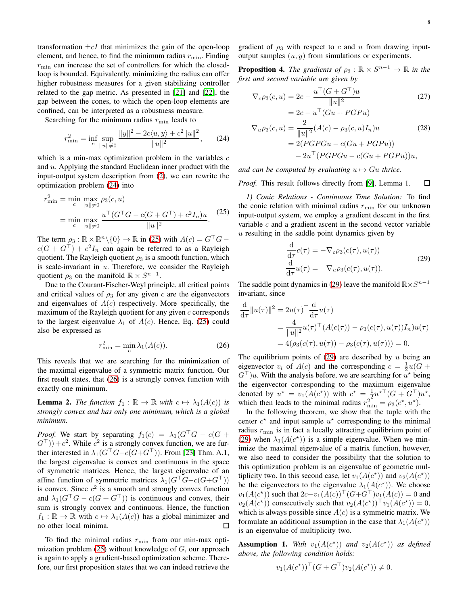transformation  $\pm cI$  that minimizes the gain of the open-loop element, and hence, to find the minimum radius  $r_{\min}$ . Finding  $r_{\rm min}$  can increase the set of controllers for which the closedloop is bounded. Equivalently, minimizing the radius can offer higher robustness measures for a given stabilizing controller related to the gap metric. As presented in [\[21\]](#page-15-21) and [\[22\]](#page-15-22), the gap between the cones, to which the open-loop elements are confined, can be interpreted as a robustness measure.

Searching for the minimum radius  $r_{\min}$  leads to

$$
r_{\min}^2 = \inf_c \sup_{\|u\| \neq 0} \frac{\|y\|^2 - 2c\langle u, y \rangle + c^2 \|u\|^2}{\|u\|^2},\qquad(24)
$$

which is a min-max optimization problem in the variables  $c$ and u. Applying the standard Euclidean inner product with the input-output system description from [\(2\)](#page-1-4), we can rewrite the optimization problem [\(24\)](#page-7-0) into

$$
r_{\min}^2 = \min_c \max_{\|u\| \neq 0} \rho_3(c, u)
$$
  
= 
$$
\min_c \max_{\|u\| \neq 0} \frac{u^\top (G^\top G - c(G + G^\top) + c^2 I_n) u}{\|u\|^2}.
$$
 (25)

The term  $\rho_3 : \mathbb{R} \times \mathbb{R}^n \setminus \{0\} \to \mathbb{R}$  in [\(25\)](#page-7-1) with  $A(c) = G^{\top}G$  –  $c(G + G^{\top}) + c^2 I_n$  can again be referred to as a Rayleigh quotient. The Rayleigh quotient  $\rho_3$  is a smooth function, which is scale-invariant in  $u$ . Therefore, we consider the Rayleigh quotient  $\rho_3$  on the manifold  $\mathbb{R} \times S^{n-1}$ .

Due to the Courant-Fischer-Weyl principle, all critical points and critical values of  $\rho_3$  for any given c are the eigenvectors and eigenvalues of  $A(c)$  respectively. More specifically, the maximum of the Rayleigh quotient for any given  $c$  corresponds to the largest eigenvalue  $\lambda_1$  of  $A(c)$ . Hence, Eq. [\(25\)](#page-7-1) could also be expressed as

$$
r_{\min}^2 = \min_c \lambda_1(A(c)).\tag{26}
$$

This reveals that we are searching for the minimization of the maximal eigenvalue of a symmetric matrix function. Our first result states, that [\(26\)](#page-7-2) is a strongly convex function with exactly one minimum.

<span id="page-7-5"></span>**Lemma 2.** *The function*  $f_1 : \mathbb{R} \to \mathbb{R}$  *with*  $c \mapsto \lambda_1(A(c))$  *is strongly convex and has only one minimum, which is a global minimum.*

*Proof.* We start by separating  $f_1(c) = \lambda_1(G^{\top}G - c(G +$  $(G<sup>T</sup>)) + c<sup>2</sup>$ . While  $c<sup>2</sup>$  is a strongly convex function, we are further interested in  $\lambda_1(G^{\top}G-c(G+G^{\top}))$ . From [\[23\]](#page-15-23) Thm. A.1, the largest eigenvalue is convex and continuous in the space of symmetric matrices. Hence, the largest eigenvalue of an affine function of symmetric matrices  $\lambda_1(G^{\top}G-c(G+G^{\top}))$ is convex. Since  $c^2$  is a smooth and strongly convex function and  $\lambda_1(G^{\top}G - c(G + G^{\top}))$  is continuous and convex, their sum is strongly convex and continuous. Hence, the function  $f_1 : \mathbb{R} \to \mathbb{R}$  with  $c \mapsto \lambda_1(A(c))$  has a global minimizer and no other local minima. no other local minima.

To find the minimal radius  $r_{\min}$  from our min-max optimization problem  $(25)$  without knowledge of  $G$ , our approach is again to apply a gradient-based optimization scheme. Therefore, our first proposition states that we can indeed retrieve the gradient of  $\rho_3$  with respect to c and u from drawing inputoutput samples  $(u, y)$  from simulations or experiments.

**Proposition 4.** The gradients of  $\rho_3 : \mathbb{R} \times S^{n-1} \to \mathbb{R}$  in the *first and second variable are given by*

<span id="page-7-7"></span>
$$
\nabla_c \rho_3(c, u) = 2c - \frac{u^\top (G + G^\top) u}{\|u\|^2}
$$
\n(27)

<span id="page-7-6"></span>
$$
= 2c - uT (Gu + PGPu)
$$
  
\n
$$
\nabla_u \rho_3(c, u) = \frac{2}{\|u\|^2} (A(c) - \rho_3(c, u)I_n)u
$$
\n
$$
= 2(PGPGu - c(Gu + PGPu))
$$
\n
$$
- 2uT (PGPGu - c(Gu + PGPu))u,
$$
\n(28)

<span id="page-7-0"></span>*and can be computed by evaluating*  $u \mapsto Gu$  *thrice.* 

*Proof.* This result follows directly from [\[9\]](#page-15-8), Lemma 1. 口

<span id="page-7-1"></span>*1) Conic Relations - Continuous Time Solution:* To find the conic relation with minimal radius  $r_{\min}$  for our unknown input-output system, we employ a gradient descent in the first variable  $c$  and a gradient ascent in the second vector variable u resulting in the saddle point dynamics given by

<span id="page-7-3"></span>
$$
\frac{\mathrm{d}}{\mathrm{d}\tau}c(\tau) = -\nabla_c \rho_3(c(\tau), u(\tau))
$$
\n
$$
\frac{\mathrm{d}}{\mathrm{d}\tau}u(\tau) = \nabla_u \rho_3(c(\tau), u(\tau)).
$$
\n(29)

The saddle point dynamics in [\(29\)](#page-7-3) leave the manifold  $\mathbb{R} \times S^{n-1}$ invariant, since

$$
\frac{d}{d\tau} ||u(\tau)||^2 = 2u(\tau)^{\top} \frac{d}{d\tau} u(\tau) \n= \frac{4}{||u||^2} u(\tau)^{\top} (A(c(\tau)) - \rho_3(c(\tau), u(\tau))I_n)u(\tau) \n= 4(\rho_3(c(\tau), u(\tau)) - \rho_3(c(\tau), u(\tau))) = 0.
$$

<span id="page-7-2"></span>The equilibrium points of  $(29)$  are described by u being an eigenvector  $v_i$  of  $A(c)$  and the corresponding  $c = \frac{1}{2}u(G +$  $G^{\top}$ )u. With the analysis before, we are searching for  $u^*$  being the eigenvector corresponding to the maximum eigenvalue denoted by  $u^* = v_1(A(c^*))$  with  $c^* = \frac{1}{2} u^{*\top} (G + G^{\top}) u^*$ , which then leads to the minimal radius  $r_{\min}^2 = \rho_3(c^*, u^*).$ 

In the following theorem, we show that the tuple with the center  $c^*$  and input sample  $u^*$  corresponding to the minimal radius  $r_{\text{min}}$  is in fact a locally attracting equilibrium point of [\(29\)](#page-7-3) when  $\lambda_1(A(c^*))$  is a simple eigenvalue. When we minimize the maximal eigenvalue of a matrix function, however, we also need to consider the possibility that the solution to this optimization problem is an eigenvalue of geometric multiplicity two. In this second case, let  $v_1(A(c^*))$  and  $v_2(A(c^*))$ be the eigenvectors to the eigenvalue  $\lambda_1(A(c^*))$ . We choose  $v_1(A(c^*))$  such that  $2c-v_1(A(c))^{\top} (G+G^{\top})v_1(A(c)) = 0$  and  $v_2(A(c^*))$  consecutively such that  $v_2(A(c^*))^\top v_1(A(c^*)) = 0$ , which is always possible since  $A(c)$  is a symmetric matrix. We formulate an additional assumption in the case that  $\lambda_1(A(c^*))$ is an eigenvalue of multiplicity two.

<span id="page-7-4"></span>**Assumption 1.** With  $v_1(A(c^*))$  and  $v_2(A(c^*))$  as defined *above, the following condition holds:*

$$
v_1(A(c^*))^\top (G + G^\top)v_2(A(c^*)) \neq 0.
$$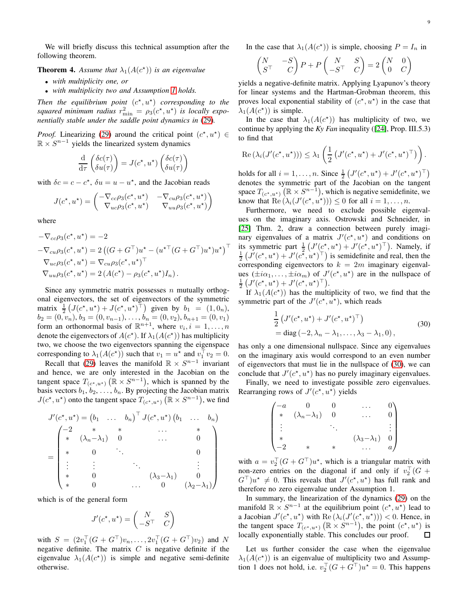We will briefly discuss this technical assumption after the following theorem.

<span id="page-8-1"></span>**Theorem 4.** Assume that  $\lambda_1(A(c^*))$  is an eigenvalue

- *with multiplicity one, or*
- *with multiplicity two and Assumption [1](#page-7-4) holds.*

Then the equilibrium point  $(c^*, u^*)$  corresponding to the squared minimum radius  $r_{\min}^2 = \rho_3(c^*, u^*)$  is locally expo*nentially stable under the saddle point dynamics in* [\(29\)](#page-7-3)*.*

*Proof.* Linearizing [\(29\)](#page-7-3) around the critical point  $(c^*, u^*) \in$  $\mathbb{R} \times S^{n-1}$  yields the linearized system dynamics

$$
\frac{\mathrm{d}}{\mathrm{d}\tau} \left( \frac{\delta c(\tau)}{\delta u(\tau)} \right) = J(c^\star, u^\star) \left( \frac{\delta c(\tau)}{\delta u(\tau)} \right)
$$

with  $\delta c = c - c^*$ ,  $\delta u = u - u^*$ , and the Jacobian reads

$$
J(c^*, u^*) = \begin{pmatrix} -\nabla_{cc}\rho_3(c^*, u^*) & -\nabla_{cu}\rho_3(c^*, u^*)\\ \nabla_{uc}\rho_3(c^*, u^*) & \nabla_{uu}\rho_3(c^*, u^*) \end{pmatrix}
$$

where

$$
-\nabla_{cc}\rho_3(c^*, u^*) = -2
$$
  
\n
$$
-\nabla_{cu}\rho_3(c^*, u^*) = 2 ((G + G^\top)u^* - (u^{*\top}(G + G^\top)u^*)u^*)^\top
$$
  
\n
$$
\nabla_{uc}\rho_3(c^*, u^*) = \nabla_{cu}\rho_3(c^*, u^*)^\top
$$
  
\n
$$
\nabla_{uu}\rho_3(c^*, u^*) = 2 (A(c^*) - \rho_3(c^*, u^*)I_n).
$$

Since any symmetric matrix possesses  $n$  mutually orthogonal eigenvectors, the set of eigenvectors of the symmetric matrix  $\frac{1}{2} (J(c^*, u^*) + J(c^*, u^*)^\top)$  given by  $b_1 = (1, 0_n)$ ,  $b_2 = (0, v_n), b_3 = (0, v_{n-1}), \ldots, b_n = (0, v_2), b_{n+1} = (0, v_1)$ form an orthonormal basis of  $\mathbb{R}^{n+1}$ , where  $v_i, i = 1, \ldots, n$ denote the eigenvectors of  $A(c^*)$ . If  $\lambda_1(A(c^*))$  has multiplicity two, we choose the two eigenvectors spanning the eigenspace corresponding to  $\lambda_1(A(c^*))$  such that  $v_1 = u^*$  and  $v_1^{\top} v_2 = 0$ .

Recall that [\(29\)](#page-7-3) leaves the manifold  $\mathbb{R} \times S^{n-1}$  invariant and hence, we are only interested in the Jacobian on the tangent space  $T_{(c^*,u^*)}$   $(\mathbb{R} \times S^{n-1})$ , which is spanned by the basis vectors  $b_1, b_2, \ldots, b_n$ . By projecting the Jacobian matrix  $J(c^*, u^*)$  onto the tangent space  $T_{(c^*, u^*)} (\mathbb{R} \times S^{n-1})$ , we find

$$
J'(c^*, u^*) = (b_1 \quad \dots \quad b_n)^{\top} J(c^*, u^*) (b_1 \quad \dots \quad b_n)
$$
  
= 
$$
\begin{pmatrix} -2 & * & * & \cdots & * \\ * & (\lambda_n - \lambda_1) & 0 & \cdots & 0 \\ * & 0 & \ddots & & 0 \\ \vdots & \vdots & & \ddots & \vdots \\ * & 0 & & & (\lambda_3 - \lambda_1) & 0 \\ * & 0 & \cdots & 0 & (\lambda_2 - \lambda_1) \end{pmatrix}
$$

which is of the general form

$$
J'(c^*, u^*) = \begin{pmatrix} N & S \\ -S^{\top} & C \end{pmatrix}
$$

with  $S = (2v_1^{\top}(G + G^{\top})v_n, \dots, 2v_1^{\top}(G + G^{\top})v_2)$  and N negative definite. The matrix  $C$  is negative definite if the eigenvalue  $\lambda_1(A(c^*))$  is simple and negative semi-definite otherwise.

In the case that  $\lambda_1(A(c^*))$  is simple, choosing  $P = I_n$  in

$$
\begin{pmatrix} N & -S \\ S^{\top} & C \end{pmatrix} P + P \begin{pmatrix} N & S \\ -S^{\top} & C \end{pmatrix} = 2 \begin{pmatrix} N & 0 \\ 0 & C \end{pmatrix}
$$

yields a negative-definite matrix. Applying Lyapunov's theory for linear systems and the Hartman-Grobman theorem, this proves local exponential stability of  $(c^*, u^*)$  in the case that  $\lambda_1(A(c^*))$  is simple.

In the case that  $\lambda_1(A(c^*))$  has multiplicity of two, we continue by applying the *Ky Fan* inequality ([\[24\]](#page-15-24), Prop. III.5.3) to find that

$$
\operatorname{Re}(\lambda_i(J'(c^\star, u^\star))) \leq \lambda_1\left(\frac{1}{2}\left(J'(c^\star, u^\star) + J'(c^\star, u^\star)^\top\right)\right).
$$

holds for all  $i = 1, ..., n$ . Since  $\frac{1}{2} \left( J'(c^*, u^*) + J'(c^*, u^*)^\top \right)$ denotes the symmetric part of the Jacobian on the tangent space  $T_{(c^*,u^*)}(\mathbb{R} \times S^{n-1})$ , which is negative semidefinite, we know that  $\text{Re}(\lambda_i(J'(c^*, u^*))) \leq 0$  for all  $i = 1, \ldots, n$ .

Furthermore, we need to exclude possible eigenvalues on the imaginary axis. Ostrowski and Schneider, in [\[25\]](#page-15-25) Thm. 2, draw a connection between purely imaginary eigenvalues of a matrix  $J'(c^*, u^*)$  and conditions on its symmetric part  $\frac{1}{2} \left( J'(\mathbf{c}^{\star}, u^{\star}) + J'(\mathbf{c}^{\star}, u^{\star})^{\top} \right)$ . Namely, if  $\frac{1}{2}$   $(J'(c^*, u^*) + J'(c^*, u^*)^\top)$  is semidefinite and real, then the corresponding eigenvectors to  $k = 2m$  imaginary eigenvalues  $(\pm i\alpha_1, \ldots, \pm i\alpha_m)$  of  $J'(c^*, u^*)$  are in the nullspace of  $\frac{1}{2}\left(J'(c^\star,u^\star)+J'(c^\star,u^\star)^\top\right).$ 

If  $\lambda_1(A(c^*))$  has the multiplicity of two, we find that the symmetric part of the  $J'(c^*, u^*)$ , which reads

<span id="page-8-0"></span>
$$
\frac{1}{2} \left( J'(c^*, u^*) + J'(c^*, u^*)^\top \right)
$$
  
= diag (-2, \lambda\_n - \lambda\_1, ..., \lambda\_3 - \lambda\_1, 0), (30)

has only a one dimensional nullspace. Since any eigenvalues on the imaginary axis would correspond to an even number of eigenvectors that must lie in the nullspace of [\(30\)](#page-8-0), we can conclude that  $J'(c^*, u^*)$  has no purely imaginary eigenvalues.

Finally, we need to investigate possible zero eigenvalues. Rearranging rows of  $J'(c^*, u^*)$  yields

$$
\begin{pmatrix}\n-a & 0 & 0 & \dots & 0 \\
* & (\lambda_n - \lambda_1) & 0 & \dots & 0 \\
\vdots & \ddots & \ddots & \vdots \\
* & & (\lambda_3 - \lambda_1) & 0 \\
-2 & * & * & \dots & a\n\end{pmatrix}
$$

with  $a = v_2^{\top} (G + G^{\top}) u^*$ , which is a triangular matrix with non-zero entries on the diagonal if and only if  $v_2^{\top}(G +$  $G^{\top}$ ) $u^* \neq 0$ . This reveals that  $J'(c^*, u^*)$  has full rank and therefore no zero eigenvalue under Assumption 1.

In summary, the linearization of the dynamics [\(29\)](#page-7-3) on the manifold  $\mathbb{R} \times S^{n-1}$  at the equilibrium point  $(c^*, u^*)$  lead to a Jacobian  $J'(c^*, u^*)$  with  $\text{Re}(\lambda_i(J'(c^*, u^*))) < 0$ . Hence, in the tangent space  $T_{(c^*,u^*)}(\mathbb{R} \times S^{n-1})$ , the point  $(c^*,u^*)$  is locally exponentially stable. This concludes our proof. 口

Let us further consider the case when the eigenvalue  $\lambda_1(A(c^*))$  is an eigenvalue of multiplicity two and Assumption 1 does not hold, i.e.  $v_2^{\top} (G + G^{\top}) u^* = 0$ . This happens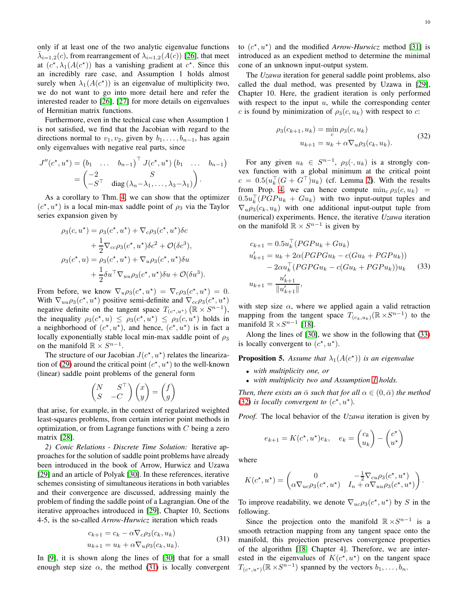Furthermore, even in the technical case when Assumption 1 is not satisfied, we find that the Jacobian with regard to the directions normal to  $v_1, v_2$ , given by  $b_1, \ldots, b_{n-1}$ , has again only eigenvalues with negative real parts, since

$$
J''(c^*, u^*) = (b_1 \quad \dots \quad b_{n-1})^\top J(c^*, u^*) (b_1 \quad \dots \quad b_{n-1})
$$
  
=  $\begin{pmatrix} -2 & S \\ -S^\top & \text{diag}(\lambda_n - \lambda_1, \dots, \lambda_3 - \lambda_1) \end{pmatrix}.$ 

As a corollary to Thm. [4,](#page-8-1) we can show that the optimizer  $(c^*, u^*)$  is a local min-max saddle point of  $\rho_3$  via the Taylor series expansion given by

$$
\rho_3(c, u^*) = \rho_3(c^*, u^*) + \nabla_c \rho_3(c^*, u^*) \delta c \n+ \frac{1}{2} \nabla_{cc} \rho_3(c^*, u^*) \delta c^2 + \mathcal{O}(\delta c^3), \n\rho_3(c^*, u) = \rho_3(c^*, u^*) + \nabla_u \rho_3(c^*, u^*) \delta u \n+ \frac{1}{2} \delta u^\top \nabla_{uu} \rho_3(c^*, u^*) \delta u + \mathcal{O}(\delta u^3).
$$

From before, we know  $\nabla_u \rho_3(c^*, u^*) = \nabla_c \rho_3(c^*, u^*) = 0.$ With  $\nabla_{uu} \rho_3(c^*, u^*)$  positive semi-definite and  $\nabla_{cc} \rho_3(c^*, u^*)$ negative definite on the tangent space  $T_{(c^*,u^*)}(\mathbb{R} \times S^{n-1}),$ the inequality  $\rho_3(c^*, u) \leq \rho_3(c^*, u^*) \leq \rho_3(c, u^*)$  holds in a neighborhood of  $(c^*, u^*)$ , and hence,  $(c^*, u^*)$  is in fact a locally exponentially stable local min-max saddle point of  $\rho_3$ on the manifold  $\mathbb{R} \times S^{n-1}$ .

The structure of our Jacobian  $J(c^*, u^*)$  relates the lineariza-tion of [\(29\)](#page-7-3) around the critical point  $(c^*, u^*)$  to the well-known (linear) saddle point problems of the general form

$$
\begin{pmatrix} N & S^{\top} \\ S & -C \end{pmatrix} \begin{pmatrix} x \\ y \end{pmatrix} = \begin{pmatrix} f \\ g \end{pmatrix}
$$

that arise, for example, in the context of regularized weighted least-squares problems, from certain interior point methods in optimization, or from Lagrange functions with  $C$  being a zero matrix [\[28\]](#page-15-28).

*2) Conic Relations - Discrete Time Solution:* Iterative approaches for the solution of saddle point problems have already been introduced in the book of Arrow, Hurwicz and Uzawa [\[29\]](#page-15-29) and an article of Polyak [\[30\]](#page-15-30). In these references, iterative schemes consisting of simultaneous iterations in both variables and their convergence are discussed, addressing mainly the problem of finding the saddle point of a Lagrangian. One of the iterative approaches introduced in [\[29\]](#page-15-29), Chapter 10, Sections 4-5, is the so-called *Arrow-Hurwicz* iteration which reads

$$
c_{k+1} = c_k - \alpha \nabla_c \rho_3(c_k, u_k)
$$
  
\n
$$
u_{k+1} = u_k + \alpha \nabla_u \rho_3(c_k, u_k).
$$
\n(31)

In [\[9\]](#page-15-8), it is shown along the lines of [\[30\]](#page-15-30) that for a small enough step size  $\alpha$ , the method [\(31\)](#page-9-0) is locally convergent

to  $(c^*, u^*)$  and the modified *Arrow-Hurwicz* method [\[31\]](#page-15-31) is introduced as an expedient method to determine the minimal cone of an unknown input-output system.

The *Uzawa* iteration for general saddle point problems, also called the dual method, was presented by Uzawa in [\[29\]](#page-15-29), Chapter 10. Here, the gradient iteration is only performed with respect to the input  $u$ , while the corresponding center c is found by minimization of  $\rho_3(c, u_k)$  with respect to c:

<span id="page-9-2"></span>
$$
\rho_3(c_{k+1}, u_k) = \min_c \rho_3(c, u_k)
$$
  

$$
u_{k+1} = u_k + \alpha \nabla_u \rho_3(c_k, u_k).
$$
 (32)

For any given  $u_k \in S^{n-1}$ ,  $\rho_3(\cdot, u_k)$  is a strongly convex function with a global minimum at the critical point  $c = 0.5(u_k^{\top}(G + G^{\top})u_k)$  (cf. Lemma [2\)](#page-7-5). With the results from Prop. [4,](#page-7-6) we can hence compute  $\min_c \rho_3(c, u_k)$  =  $0.5u_k^\top (PGPu_k + Gu_k)$  with two input-output tuples and  $\nabla_u \rho_3(c_k, u_k)$  with one additional input-output tuple from (numerical) experiments. Hence, the iterative *Uzawa* iteration on the manifold  $\mathbb{R} \times S^{n-1}$  is given by

<span id="page-9-1"></span>
$$
c_{k+1} = 0.5u_k^{\top} (PGPu_k + Gu_k)
$$
  
\n
$$
u'_{k+1} = u_k + 2\alpha (PGPGu_k - c(Gu_k + PGPu_k))
$$
  
\n
$$
- 2\alpha u_k^{\top} (PGPGu_k - c(Gu_k + PGPu_k))u_k
$$
\n(33)  
\n
$$
u_{k+1} = \frac{u'_{k+1}}{||u'_{k+1}||},
$$

with step size  $\alpha$ , where we applied again a valid retraction mapping from the tangent space  $T_{(c_k,u_k)}(\mathbb{R} \times S^{n-1})$  to the manifold  $\mathbb{R} \times S^{n-1}$  [\[18\]](#page-15-18).

Along the lines of [\[30\]](#page-15-30), we show in the following that [\(33\)](#page-9-1) is locally convergent to  $(c^*, u^*)$ .

<span id="page-9-3"></span>**Proposition 5.** Assume that  $\lambda_1(A(c^*))$  is an eigenvalue

- *with multiplicity one, or*
- *with multiplicity two and Assumption [1](#page-7-4) holds.*

*Then, there exists an*  $\bar{\alpha}$  *such that for all*  $\alpha \in (0, \bar{\alpha})$  *the method* [\(32\)](#page-9-2) *is locally convergent to*  $(c^*, u^*)$ .

*Proof.* The local behavior of the *Uzawa* iteration is given by

$$
e_{k+1} = K(c^*, u^*)e_k, \quad e_k = \begin{pmatrix} c_k \\ u_k \end{pmatrix} - \begin{pmatrix} c^* \\ u^* \end{pmatrix}
$$

where

$$
K(c^{\star}, u^{\star}) = \begin{pmatrix} 0 & -\frac{1}{2} \nabla_{cu} \rho_3(c^{\star}, u^{\star}) \\ \alpha \nabla_{uc} \rho_3(c^{\star}, u^{\star}) & I_n + \alpha \nabla_{uu} \rho_3(c^{\star}, u^{\star}) \end{pmatrix}
$$

.

To improve readability, we denote  $\nabla_{uc}\rho_3(c^*, u^*)$  by S in the following.

<span id="page-9-0"></span>Since the projection onto the manifold  $\mathbb{R} \times S^{n-1}$  is a smooth retraction mapping from any tangent space onto the manifold, this projection preserves convergence properties of the algorithm [\[18,](#page-15-18) Chapter 4]. Therefore, we are interested in the eigenvalues of  $K(c^*, u^*)$  on the tangent space  $T_{(c^*, u^*)}(\mathbb{R} \times S^{n-1})$  spanned by the vectors  $b_1, \ldots, b_n$ .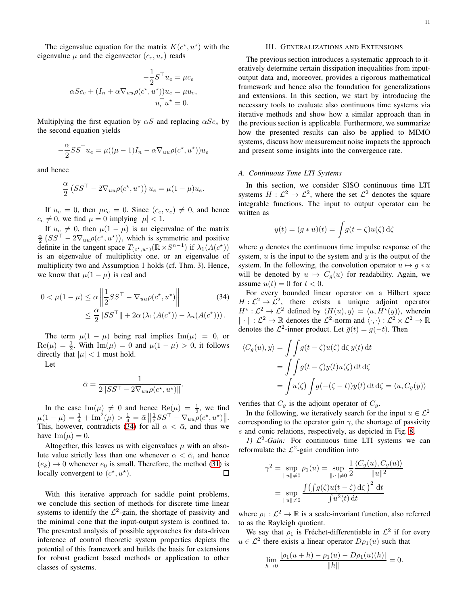The eigenvalue equation for the matrix  $K(c^*, u^*)$  with the eigenvalue  $\mu$  and the eigenvector  $(c_e, u_e)$  reads

$$
-\frac{1}{2}S^{\top}u_{e} = \mu c_{e}
$$

$$
\alpha Sc_{e} + (I_{n} + \alpha \nabla_{uu}\rho(c^{\star}, u^{\star}))u_{e} = \mu u_{e},
$$

$$
u_{e}^{\top}u^{\star} = 0.
$$

Multiplying the first equation by  $\alpha S$  and replacing  $\alpha Sc_e$  by the second equation yields

$$
-\frac{\alpha}{2}SS^{\top}u_{e} = \mu((\mu - 1)I_{n} - \alpha \nabla_{uu}\rho(c^{\star}, u^{\star}))u_{e}
$$

and hence

$$
\frac{\alpha}{2} \left( S S^{\top} - 2 \nabla_{uu} \rho(c^{\star}, u^{\star}) \right) u_e = \mu (1 - \mu) u_e.
$$

If  $u_e = 0$ , then  $\mu c_e = 0$ . Since  $(c_e, u_e) \neq 0$ , and hence  $c_e \neq 0$ , we find  $\mu = 0$  implying  $|\mu| < 1$ .

If  $u_e \neq 0$ , then  $\mu(1 - \mu)$  is an eigenvalue of the matrix  $\frac{\alpha}{2} (SS^{\top} - 2\nabla_{uu}\rho(c^*, u^*))$ , which is symmetric and positive definite in the tangent space  $T_{(c^*,u^*)}(\mathbb{R} \times S^{n-1})$  if  $\lambda_1(A(c^*))$ is an eigenvalue of multiplicity one, or an eigenvalue of multiplicity two and Assumption 1 holds (cf. Thm. 3). Hence, we know that  $\mu(1 - \mu)$  is real and

$$
0 < \mu(1-\mu) \leq \alpha \left\| \frac{1}{2} S S^{\top} - \nabla_{uu} \rho(c^{\star}, u^{\star}) \right\| \tag{34}
$$
\n
$$
\leq \frac{\alpha}{2} \| S S^{\top} \| + 2\alpha \left( \lambda_1 (A(c^{\star})) - \lambda_n (A(c^{\star})) \right).
$$

The term  $\mu(1 - \mu)$  being real implies Im( $\mu$ ) = 0, or  $\text{Re}(\mu) = \frac{1}{2}$ . With  $\text{Im}(\mu) = 0$  and  $\mu(1 - \mu) > 0$ , it follows directly that  $|\mu| < 1$  must hold.

Let

$$
\bar{\alpha} = \frac{1}{2||SS^{\top} - 2\nabla_{uu}\rho(c^{\star}, u^{\star})||}.
$$

In the case  $\text{Im}(\mu) \neq 0$  and hence  $\text{Re}(\mu) = \frac{1}{2}$ , we find  $\mu(1-\mu) = \frac{1}{4} + \text{Im}^2(\mu) > \frac{1}{4} = \bar{\alpha} \left\| \frac{1}{2} S S^{\top} - \nabla_{uu} \rho(c^{\star}, u^{\star}) \right\|.$ This, however, contradicts [\(34\)](#page-10-2) for all  $\alpha < \bar{\alpha}$ , and thus we have  $\text{Im}(\mu) = 0$ .

Altogether, this leaves us with eigenvalues  $\mu$  with an absolute value strictly less than one whenever  $\alpha < \bar{\alpha}$ , and hence  $(e_k) \rightarrow 0$  whenever  $e_0$  is small. Therefore, the method [\(31\)](#page-9-0) is locally convergent to  $(e^*, u^*)$ . locally convergent to  $(c^*, u^*)$ .

With this iterative approach for saddle point problems, we conclude this section of methods for discrete time linear systems to identify the  $\mathcal{L}^2$ -gain, the shortage of passivity and the minimal cone that the input-output system is confined to. The presented analysis of possible approaches for data-driven inference of control theoretic system properties depicts the potential of this framework and builds the basis for extensions for robust gradient based methods or application to other classes of systems.

# III. GENERALIZATIONS AND EXTENSIONS

<span id="page-10-0"></span>The previous section introduces a systematic approach to iteratively determine certain dissipation inequalities from inputoutput data and, moreover, provides a rigorous mathematical framework and hence also the foundation for generalizations and extensions. In this section, we start by introducing the necessary tools to evaluate also continuous time systems via iterative methods and show how a similar approach than in the previous section is applicable. Furthermore, we summarize how the presented results can also be applied to MIMO systems, discuss how measurement noise impacts the approach and present some insights into the convergence rate.

#### <span id="page-10-1"></span>*A. Continuous Time LTI Systems*

In this section, we consider SISO continuous time LTI systems  $H: \mathcal{L}^2 \to \mathcal{L}^2$ , where the set  $\mathcal{L}^2$  denotes the square integrable functions. The input to output operator can be written as

$$
y(t) = (g * u)(t) = \int g(t - \zeta)u(\zeta) d\zeta
$$

where  $q$  denotes the continuous time impulse response of the system,  $u$  is the input to the system and  $y$  is the output of the system. In the following, the convolution operator  $u \mapsto g * u$ will be denoted by  $u \mapsto C_g(u)$  for readability. Again, we assume  $u(t) = 0$  for  $t < 0$ .

<span id="page-10-2"></span>For every bounded linear operator on a Hilbert space  $H : \mathcal{L}^2 \to \mathcal{L}^2$ , there exists a unique adjoint operator  $H^* : \mathcal{L}^2 \to \mathcal{L}^2$  defined by  $\langle H(u), y \rangle = \langle u, H^*(y) \rangle$ , wherein  $\|\cdot\|: \mathcal{L}^2 \to \mathbb{R}$  denotes the  $\mathcal{L}^2$ -norm and  $\langle \cdot, \cdot \rangle: \mathcal{L}^2 \times \mathcal{L}^2 \to \mathbb{R}$ denotes the  $\mathcal{L}^2$ -inner product. Let  $\bar{g}(t) = g(-t)$ . Then

$$
\langle C_g(u), y \rangle = \int \int g(t - \zeta) u(\zeta) d\zeta y(t) dt
$$
  
= 
$$
\int \int g(t - \zeta) y(t) u(\zeta) dt d\zeta
$$
  
= 
$$
\int u(\zeta) \int g(-(\zeta - t)) y(t) dt d\zeta = \langle u, C_{\overline{g}}(y) \rangle
$$

verifies that  $C_{\bar{g}}$  is the adjoint operator of  $C_g$ .

In the following, we iteratively search for the input  $u \in \mathcal{L}^2$ corresponding to the operator gain  $\gamma$ , the shortage of passivity s and conic relations, respectively, as depicted in Fig. [8.](#page-11-0)

1)  $\mathcal{L}^2$ -*Gain*: For continuous time LTI systems we can reformulate the  $\mathcal{L}^2$ -gain condition into

$$
\gamma^2 = \sup_{\|u\| \neq 0} \rho_1(u) = \sup_{\|u\| \neq 0} \frac{1}{2} \frac{\langle C_g(u), C_g(u) \rangle}{\|u\|^2}
$$

$$
= \sup_{\|u\| \neq 0} \frac{\int (\int g(\zeta)u(t-\zeta) d\zeta)^2 dt}{\int u^2(t) dt}
$$

where  $\rho_1 : \mathcal{L}^2 \to \mathbb{R}$  is a scale-invariant function, also referred to as the Rayleigh quotient.

We say that  $\rho_1$  is Fréchet-differentiable in  $\mathcal{L}^2$  if for every  $u \in \mathcal{L}^2$  there exists a linear operator  $D\rho_1(u)$  such that

$$
\lim_{h \to 0} \frac{|\rho_1(u+h) - \rho_1(u) - D\rho_1(u)(h)|}{\|h\|} = 0.
$$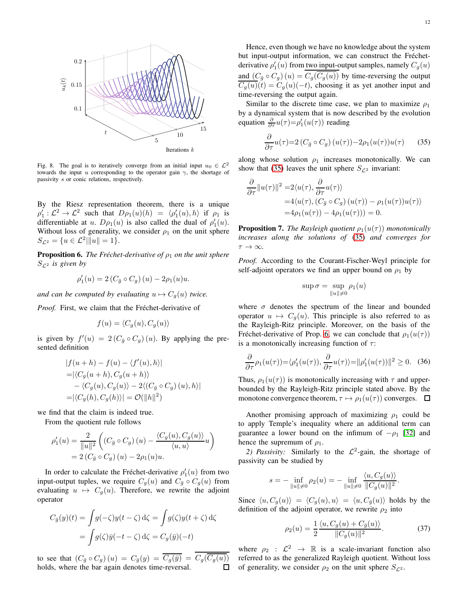

<span id="page-11-0"></span>Fig. 8. The goal is to iteratively converge from an initial input  $u_0 \in \mathcal{L}^2$ towards the input u corresponding to the operator gain  $\gamma$ , the shortage of passivity s or conic relations, respectively.

By the Riesz representation theorem, there is a unique  $\rho'_1: \mathcal{L}^2 \to \mathcal{L}^2$  such that  $D\rho_1(u)(h) = \langle \rho'_1(u), h \rangle$  if  $\rho_1$  is differentiable at u.  $D\rho_1(u)$  is also called the dual of  $\rho'_1(u)$ . Without loss of generality, we consider  $\rho_1$  on the unit sphere  $S_{\mathcal{L}^2} = \{u \in \mathcal{L}^2 | ||u|| = 1\}.$ 

<span id="page-11-2"></span>**Proposition 6.** *The Fréchet-derivative of*  $\rho_1$  *on the unit sphere*  $S_{\mathcal{L}^2}$  *is given by* 

$$
\rho_1'(u) = 2\left(C_{\bar{g}} \circ C_g\right)(u) - 2\rho_1(u)u.
$$

*and can be computed by evaluating*  $u \mapsto C_g(u)$  *twice.* 

*Proof.* First, we claim that the Fréchet-derivative of

$$
f(u) = \langle C_g(u), C_g(u) \rangle
$$

is given by  $f'(u) = 2(C_{\bar{g}} \circ C_g)(u)$ . By applying the presented definition

$$
|f(u+h) - f(u) - \langle f'(u), h \rangle|
$$
  
=|\langle C\_g(u+h), C\_g(u+h) \rangle  
-\langle C\_g(u), C\_g(u) \rangle - 2\langle (C\_{\overline{g}} \circ C\_g) (u), h \rangle|  
=|\langle C\_g(h), C\_g(h) \rangle| = \mathcal{O}(\|h\|^2)

we find that the claim is indeed true.

From the quotient rule follows

$$
\rho_1'(u) = \frac{2}{\|u\|^2} \left( (C_{\bar{g}} \circ C_g) (u) - \frac{\langle C_g(u), C_g(u) \rangle}{\langle u, u \rangle} u \right)
$$
  
= 2 (C\_{\bar{g}} \circ C\_g) (u) - 2\rho\_1(u)u.

In order to calculate the Fréchet-derivative  $\rho'_1(u)$  from two input-output tuples, we require  $C_g(u)$  and  $C_{\bar{g}} \circ C_g(u)$  from evaluating  $u \mapsto C_q(u)$ . Therefore, we rewrite the adjoint operator

$$
C_{\bar{g}}(y)(t) = \int g(-\zeta)y(t-\zeta) d\zeta = \int g(\zeta)y(t+\zeta) d\zeta
$$

$$
= \int g(\zeta)\bar{y}(-t-\zeta) d\zeta = C_g(\bar{y})(-t)
$$

to see that  $(C_{\bar{g}} \circ C_g)(u) = C_{\bar{g}}(y) = \overline{C_g(\bar{y})} = C_g(\overline{C_g(u)})$ <br>holds, where the bar again denotes time-reversal. holds, where the bar again denotes time-reversal.

Hence, even though we have no knowledge about the system but input-output information, we can construct the Fréchetderivative  $\rho'_1(u)$  from two input-output samples, namely  $C_g(u)$ and  $(C_{\bar{g}} \circ C_g)(u) = C_g(\overline{C_g(u)})$  by time-reversing the output  $C_g(u)(t) = C_g(u)(-t)$ , choosing it as yet another input and time-reversing the output again.

Similar to the discrete time case, we plan to maximize  $\rho_1$ by a dynamical system that is now described by the evolution equation  $\frac{\partial}{\partial \tau}u(\tau) = \rho'_1(u(\tau))$  reading

<span id="page-11-1"></span>
$$
\frac{\partial}{\partial \tau} u(\tau) = 2 \left( C_{\bar{g}} \circ C_g \right) \left( u(\tau) \right) - 2 \rho_1 \left( u(\tau) \right) u(\tau) \tag{35}
$$

along whose solution  $\rho_1$  increases monotonically. We can show that [\(35\)](#page-11-1) leaves the unit sphere  $S_{\mathcal{L}^2}$  invariant:

$$
\frac{\partial}{\partial \tau} ||u(\tau)||^2 = 2\langle u(\tau), \frac{\partial}{\partial \tau} u(\tau) \rangle
$$
  
= 4\langle u(\tau), (C\_{\bar{g}} \circ C\_g) (u(\tau)) - \rho\_1(u(\tau))u(\tau) \rangle  
= 4\rho\_1(u(\tau)) - 4\rho\_1(u(\tau))) = 0.

**Proposition 7.** *The Rayleigh quotient*  $\rho_1(u(\tau))$  *monotonically increases along the solutions of* [\(35\)](#page-11-1) *and converges for*  $\tau \to \infty$ .

*Proof.* According to the Courant-Fischer-Weyl principle for self-adjoint operators we find an upper bound on  $\rho_1$  by

$$
\sup \sigma = \sup_{\|u\| \neq 0} \rho_1(u)
$$

where  $\sigma$  denotes the spectrum of the linear and bounded operator  $u \mapsto C_a(u)$ . This principle is also referred to as the Rayleigh-Ritz principle. Moreover, on the basis of the Fréchet-derivative of Prop. [6,](#page-11-2) we can conclude that  $\rho_1(u(\tau))$ is a monotonically increasing function of  $\tau$ :

$$
\frac{\partial}{\partial \tau}\rho_1(u(\tau)) = \langle \rho'_1(u(\tau)), \frac{\partial}{\partial \tau}u(\tau) \rangle = ||\rho'_1(u(\tau))||^2 \ge 0. \quad (36)
$$

Thus,  $\rho_1(u(\tau))$  is monotonically increasing with  $\tau$  and upperbounded by the Rayleigh-Ritz principle stated above. By the monotone convergence theorem,  $\tau \mapsto \rho_1(u(\tau))$  converges.  $\Box$ 

Another promising approach of maximizing  $\rho_1$  could be to apply Temple's inequality where an additional term can guarantee a lower bound on the infimum of  $-\rho_1$  [\[32\]](#page-15-32) and hence the supremum of  $\rho_1$ .

2) *Passivity*: Similarly to the  $\mathcal{L}^2$ -gain, the shortage of passivity can be studied by

$$
s = -\inf_{\|u\| \neq 0} \rho_2(u) = -\inf_{\|u\| \neq 0} \frac{\langle u, C_g(u) \rangle}{\|C_g(u)\|^2}
$$

Since  $\langle u, C_g(u) \rangle = \langle C_g(u), u \rangle = \langle u, C_{\overline{g}}(u) \rangle$  holds by the definition of the adjoint operator, we rewrite  $\rho_2$  into

$$
\rho_2(u) = \frac{1}{2} \frac{\langle u, C_g(u) + C_{\bar{g}}(u) \rangle}{\|C_g(u)\|^2}.
$$
 (37)

<span id="page-11-3"></span>.

where  $\rho_2$  :  $\mathcal{L}^2 \rightarrow \mathbb{R}$  is a scale-invariant function also referred to as the generalized Rayleigh quotient. Without loss of generality, we consider  $\rho_2$  on the unit sphere  $S_{\mathcal{L}^2}$ .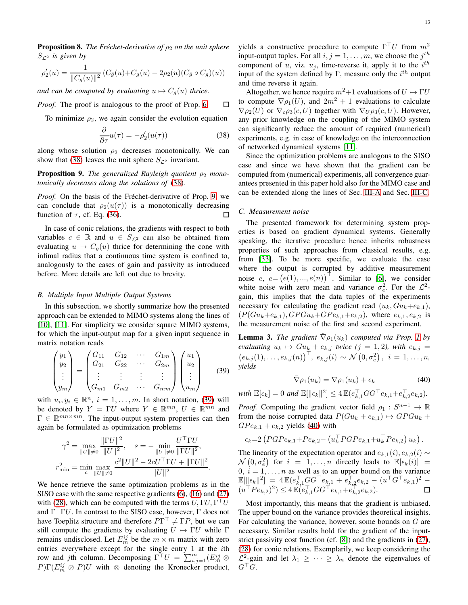**Proposition 8.** *The Fréchet-derivative of*  $\rho_2$  *on the unit sphere*  $S_{\mathcal{L}^2}$  *is given by* 

$$
\rho_2'(u) = \frac{1}{\|C_g(u)\|^2} (C_{\bar{g}}(u) + C_g(u) - 2\rho_2(u)(C_{\bar{g}} \circ C_g)(u))
$$

*and can be computed by evaluating*  $u \mapsto C_g(u)$  *thrice.* 

*Proof.* The proof is analogous to the proof of Prop. [6.](#page-11-2) П

To minimize  $\rho_2$ , we again consider the evolution equation

$$
\frac{\partial}{\partial \tau}u(\tau) = -\rho_2'(u(\tau))\tag{38}
$$

along whose solution  $\rho_2$  decreases monotonically. We can show that [\(38\)](#page-12-1) leaves the unit sphere  $S_{\mathcal{L}^2}$  invariant.

<span id="page-12-2"></span>**Proposition 9.** The generalized Rayleigh quotient  $ρ_2$  mono*tonically decreases along the solutions of* [\(38\)](#page-12-1)*.*

*Proof.* On the basis of the Fréchet-derivative of Prop. [9,](#page-12-2) we can conclude that  $\rho_2(u(\tau))$  is a monotonically decreasing function of  $\tau$ , cf. Eq. [\(36\)](#page-11-3). П

In case of conic relations, the gradients with respect to both variables  $c \in \mathbb{R}$  and  $u \in S_{\mathcal{L}^2}$  can also be obtained from evaluating  $u \mapsto C_q(u)$  thrice for determining the cone with infimal radius that a continuous time system is confined to, analogously to the cases of gain and passivity as introduced before. More details are left out due to brevity.

#### <span id="page-12-0"></span>*B. Multiple Input Multiple Output Systems*

In this subsection, we shortly summarize how the presented approach can be extended to MIMO systems along the lines of [\[10\]](#page-15-9), [\[11\]](#page-15-10). For simplicity we consider square MIMO systems, for which the input-output map for a given input sequence in matrix notation reads

$$
\begin{pmatrix} y_1 \\ y_2 \\ \vdots \\ y_m \end{pmatrix} = \begin{pmatrix} G_{11} & G_{12} & \cdots & G_{1m} \\ G_{21} & G_{22} & \cdots & G_{2m} \\ \vdots & \vdots & \vdots & \vdots \\ G_{m1} & G_{m2} & \cdots & G_{mm} \end{pmatrix} \begin{pmatrix} u_1 \\ u_2 \\ \vdots \\ u_m \end{pmatrix}
$$
(39)

with  $u_i, y_i \in \mathbb{R}^n$ ,  $i = 1, ..., m$ . In short notation, [\(39\)](#page-12-3) will be denoted by  $Y = \Gamma U$  where  $Y \in \mathbb{R}^{mn}$ ,  $U \in \mathbb{R}^{mn}$  and  $\Gamma \in \mathbb{R}^{mn \times mn}$ . The input-output system properties can then again be formulated as optimization problems

$$
\gamma^2 = \max_{\|U\| \neq 0} \frac{\|\Gamma U\|^2}{\|U\|^2}, \quad s = -\min_{\|U\| \neq 0} \frac{U^{\top} \Gamma U}{\|\Gamma U\|^2},
$$

$$
r_{\min}^2 = \min_{c} \max_{\|U\| \neq 0} \frac{c^2 \|U\|^2 - 2cU^{\top} \Gamma U + \|\Gamma U\|^2}{\|U\|^2}.
$$

We hence retrieve the same optimization problems as in the SISO case with the same respective gradients [\(6\)](#page-2-4), [\(16\)](#page-4-3) and [\(27\)](#page-7-7) with [\(28\)](#page-7-6), which can be computed with the terms  $U, \Gamma U, \Gamma^{\top} U$ and  $\Gamma^{\top} \Gamma U$ . In contrast to the SISO case, however,  $\Gamma$  does not have Toeplitz structure and therefore  $P\Gamma^{\top} \neq \Gamma P$ , but we can still compute the gradients by evaluating  $U \mapsto \Gamma U$  while  $\Gamma$ remains undisclosed. Let  $E_m^{ij}$  be the  $m \times m$  matrix with zero entries everywhere except for the single entry 1 at the ith row and jth column. Decomposing  $\Gamma^{\top} U = \sum_{i,j=1}^{m} (E_m^{ij} \otimes$  $P[\Gamma(E_m^{ij} \otimes P]U$  with  $\otimes$  denoting the Kronecker product,

yields a constructive procedure to compute  $\Gamma^{\top}U$  from  $m^2$ input-output tuples. For all  $i, j = 1, \ldots, m$ , we choose the  $j^{th}$ component of u, viz.  $u_j$ , time-reverse it, apply it to the  $i^{th}$ input of the system defined by  $\Gamma$ , measure only the  $i^{th}$  output and time reverse it again.

Altogether, we hence require  $m^2+1$  evaluations of  $U \mapsto \Gamma U$ to compute  $\nabla \rho_1(U)$ , and  $2m^2 + 1$  evaluations to calculate  $\nabla \rho_2(U)$  or  $\nabla_c \rho_3(c, U)$  together with  $\nabla_U \rho_3(c, U)$ . However, any prior knowledge on the coupling of the MIMO system can significantly reduce the amount of required (numerical) experiments, e.g. in case of knowledge on the interconnection of networked dynamical systems [\[11\]](#page-15-10).

<span id="page-12-1"></span>Since the optimization problems are analogous to the SISO case and since we have shown that the gradient can be computed from (numerical) experiments, all convergence guarantees presented in this paper hold also for the MIMO case and can be extended along the lines of Sec. [III-A](#page-10-1) and Sec. [III-C.](#page-12-4)

#### <span id="page-12-4"></span>*C. Measurement noise*

The presented framework for determining system properties is based on gradient dynamical systems. Generally speaking, the iterative procedure hence inherits robustness properties of such approaches from classical results, e.g. from [\[33\]](#page-15-33). To be more specific, we evaluate the case where the output is corrupted by additive measurement noise  $e, e = (e(1), ..., e(n))$ <sup>T</sup>. Similar to [\[6\]](#page-15-5), we consider white noise with zero mean and variance  $\sigma_e^2$ . For the  $\mathcal{L}^2$ gain, this implies that the data tuples of the experiments necessary for calculating the gradient read  $(u_k, Gu_k+e_{k,1}),$  $(P(Gu_k+e_{k,1}), GPGu_k+GPe_{k,1}+e_{k,2}),$  where  $e_{k,1}, e_{k,2}$  is the measurement noise of the first and second experiment.

**Lemma 3.** *The gradient*  $\hat{\nabla}\rho_1(u_k)$  *computed via Prop. 1 by evaluating*  $u_k \mapsto Gu_k + e_{k,j}$  *twice* (*j* = 1, 2*), with*  $e_{k,j}$  =  $(e_{k,j}(1), \ldots, e_{k,j}(n))^\top$ ,  $(e_{k,j}(i) \sim \mathcal{N}(0, \sigma_e^2)$ ,  $i = 1, \ldots, n$ , *yields*

<span id="page-12-5"></span>
$$
\hat{\nabla}\rho_1(u_k) = \nabla\rho_1(u_k) + \epsilon_k \tag{40}
$$

<span id="page-12-3"></span> $with \ \mathbb{E}[\epsilon_k] = 0 \ and \ \mathbb{E}[\|\epsilon_k\|^2] \leq 4 \, \mathbb{E}(e_{k,1}^\top GG^\top e_{k,1} + e_{k,2}^\top e_{k,2}).$ 

*Proof.* Computing the gradient vector field  $\rho_1 : S^{n-1} \to \mathbb{R}$ from the noise corrupted data  $P(Gu_k + e_{k,1}) \mapsto GPGu_k +$  $GPe_{k,1} + e_{k,2}$  yields [\(40\)](#page-12-5) with

$$
\epsilon_k = 2 \left( PGPe_{k,1} + Pe_{k,2} - \left( u_k^{\top} PGPe_{k,1} + u_k^{\top} Pe_{k,2} \right) u_k \right).
$$

The linearity of the expectation operator and  $e_{k,1}(i)$ ,  $e_{k,2}(i)$  ∼  $\mathcal{N}(0, \sigma_e^2)$  for  $i = 1, ..., n$  directly leads to  $\mathbb{E}[\epsilon_k(i)] =$  $0, i = 1, \ldots, n$  as well as to an upper bound on the variance  $\mathbb{E}[\|\epsilon_k\|^2] = 4 \, \mathbb{E} (e_{k,1}^\top G G^\top e_{k,1} + e_{k,2}^\top e_{k,2} - (u^\top G^\top e_{k,1})^2 (u^{\top}Pe_{k,2})^2 \leq 4 \mathbb{E} (e_{k,1}^{\top}GG^{\top}e_{k,1} + e_{k,2}^{\top}e_{k,2}).$ 

Most importantly, this means that the gradient is unbiased. The upper bound on the variance provides theoretical insights. For calculating the variance, however, some bounds on G are necessary. Similar results hold for the gradient of the inputstrict passivity cost function (cf. [\[8\]](#page-15-7)) and the gradients in [\(27\)](#page-7-7), [\(28\)](#page-7-6) for conic relations. Exemplarily, we keep considering the  $\mathcal{L}^2$ -gain and let  $\lambda_1 \geq \cdots \geq \lambda_n$  denote the eigenvalues of  $G^{\top}G$ .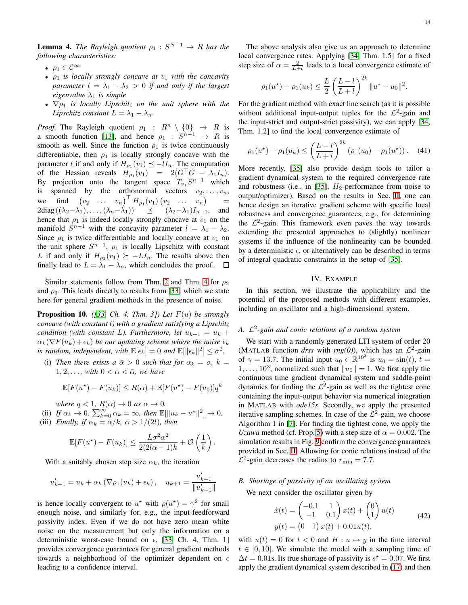**Lemma 4.** *The Rayleigh quotient*  $\rho_1 : S^{N-1} \to R$  *has the following characteristics:*

- $\rho_1 \in \mathcal{C}^{\infty}$
- $\rho_1$  *is locally strongly concave at*  $v_1$  *with the concavity parameter*  $l = \lambda_1 - \lambda_2 > 0$  *if and only if the largest eigenvalue*  $\lambda_1$  *is simple*
- $\nabla \rho_1$  *is locally Lipschitz on the unit sphere with the Lipschitz constant*  $L = \lambda_1 - \lambda_n$ *.*

*Proof.* The Rayleigh quotient  $\rho_1$  :  $R^n \setminus \{0\} \rightarrow R$  is a smooth function [\[13\]](#page-15-13), and hence  $\rho_1 : S^{n-1} \to R$  is smooth as well. Since the function  $\rho_1$  is twice continuously differentiable, then  $\rho_1$  is locally strongly concave with the parameter l if and only if  $H_{\rho_1}(v_1) \preceq -lI_n$ . The computation of the Hessian reveals  $H_{\rho_1}(v_1) = 2(G^{\top}G - \lambda_1 I_n).$ By projection onto the tangent space  $T_{v_1}S^{n-1}$  which is spanned by the orthonormal vectors  $v_2, \ldots, v_n$ , we find  $v_2 \quad ... \quad v_n)^\top H_{\rho_1}(v_1) (v_2 \quad ... \quad v_n)$ =  $2 \text{diag} ((\lambda_2-\lambda_1), \ldots, (\lambda_n-\lambda_1)) \leq (\lambda_2-\lambda_1)I_{n-1}$ , and hence that  $\rho_1$  is indeed locally strongly concave at  $v_1$  on the manifold  $S^{n-1}$  with the concavity parameter  $l = \lambda_1 - \lambda_2$ . Since  $\rho_1$  is twice differentiable and locally concave at  $v_1$  on the unit sphere  $S^{n-1}$ ,  $\rho_1$  is locally Lipschitz with constant L if and only if  $H_{\rho_1}(v_1) \succeq -LI_n$ . The results above then finally lead to  $L = \lambda_1 - \lambda_n$ , which concludes the proof.

Similar statements follow from Thm. [2](#page-5-2) and Thm. [4](#page-8-1) for  $\rho_2$ and  $\rho_3$ . This leads directly to results from [\[33\]](#page-15-33) which we state here for general gradient methods in the presence of noise.

**Proposition 10.** *(* $[33, Ch. 4, Thm. 3]$  $[33, Ch. 4, Thm. 3]$ *)* Let  $F(u)$  be strongly *concave (with constant* l*) with a gradient satisfying a Lipschitz condition (with constant L). Furthermore, let*  $u_{k+1} = u_k +$  $\alpha_k(\nabla F(u_k)+\epsilon_k)$  *be our updating scheme where the noise*  $\epsilon_k$ *is random, independent, with*  $\mathbb{E}[\epsilon_k] = 0$  *and*  $\mathbb{E}[\|\epsilon_k\|^2] \le \sigma^2$ .

(i) *Then there exists a*  $\bar{\alpha} > 0$  *such that for*  $\alpha_k = \alpha$ ,  $k =$  $1, 2, \ldots$ , with  $0 < \alpha < \bar{\alpha}$ , we have

$$
\mathbb{E}[F(u^*) - F(u_k)] \le R(\alpha) + \mathbb{E}[F(u^*) - F(u_0)]q^k
$$

*where*  $q < 1$ *,*  $R(\alpha) \rightarrow 0$  *as*  $\alpha \rightarrow 0$ *.* 

- (ii) If  $\alpha_k \to 0$ ,  $\sum_{k=0}^{\infty} \alpha_k = \infty$ , then  $\mathbb{E}[\Vert u_k u^* \Vert^2] \to 0$ .
- (iii) *Finally, if*  $\alpha_k = \alpha/k$ ,  $\alpha > 1/(2l)$ *, then*

$$
\mathbb{E}[F(u^*) - F(u_k)] \le \frac{L\sigma^2\alpha^2}{2(2l\alpha - 1)k} + \mathcal{O}\left(\frac{1}{k}\right).
$$

With a suitably chosen step size  $\alpha_k$ , the iteration

$$
u'_{k+1} = u_k + \alpha_k (\nabla \rho_1(u_k) + \epsilon_k), \quad u_{k+1} = \frac{u'_{k+1}}{\|u'_{k+1}\|}
$$

is hence locally convergent to  $u^*$  with  $\rho(u^*) = \gamma^2$  for small enough noise, and similarly for, e.g., the input-feedforward passivity index. Even if we do not have zero mean white noise on the measurement but only the information on a deterministic worst-case bound on  $\epsilon$ , [\[33,](#page-15-33) Ch. 4, Thm. 1] provides convergence guarantees for general gradient methods towards a neighborhood of the optimizer dependent on  $\epsilon$ leading to a confidence interval.

The above analysis also give us an approach to determine local convergence rates. Applying [\[34,](#page-15-34) Thm. 1.5] for a fixed step size of  $\alpha = \frac{2}{L+l}$  leads to a local convergence estimate of

$$
\rho_1(u^*) - \rho_1(u_k) \le \frac{L}{2} \left( \frac{L-l}{L+l} \right)^{2k} \|u^* - u_0\|^2.
$$

For the gradient method with exact line search (as it is possible without additional input-output tuples for the  $\mathcal{L}^2$ -gain and the input-strict and output-strict passivity), we can apply [\[34,](#page-15-34) Thm. 1.2] to find the local convergence estimate of

$$
\rho_1(u^*) - \rho_1(u_k) \le \left(\frac{L-l}{L+l}\right)^{2k} (\rho_1(u_0) - \rho_1(u^*)). \tag{41}
$$

More recently, [\[35\]](#page-15-35) also provide design tools to tailor a gradient dynamical system to the required convergence rate and robustness (i.e., in [\[35\]](#page-15-35),  $H_2$ -performance from noise to output/optimizer). Based on the results in Sec. [II,](#page-1-1) one can hence design an iterative gradient scheme with specific local robustness and convergence guarantees, e.g., for determining the  $\mathcal{L}^2$ -gain. This framework even paves the way towards extending the presented approaches to (slightly) nonlinear systems if the influence of the nonlinearity can be bounded by a deterministic  $\epsilon$ , or alternatively can be described in terms of integral quadratic constraints in the setup of [\[35\]](#page-15-35).

#### <span id="page-13-1"></span>IV. EXAMPLE

<span id="page-13-0"></span>In this section, we illustrate the applicability and the potential of the proposed methods with different examples, including an oscillator and a high-dimensional system.

# *A.* L 2 *-gain and conic relations of a random system*

We start with a randomly generated LTI system of order 20 (MATLAB function *drss* with  $rng(0)$ ), which has an  $\mathcal{L}^2$ -gain of  $\gamma = 13.7$ . The initial input  $u_0 \in \mathbb{R}^{10^3}$  is  $u_0 = \sin(t)$ ,  $t =$  $1, \ldots, 10^3$ , normalized such that  $||u_0|| = 1$ . We first apply the continuous time gradient dynamical system and saddle-point dynamics for finding the  $\mathcal{L}^2$ -gain as well as the tightest cone containing the input-output behavior via numerical integration in MATLAB with *ode15s*. Secondly, we apply the presented iterative sampling schemes. In case of the  $\mathcal{L}^2$ -gain, we choose Algorithm 1 in [\[7\]](#page-15-6). For finding the tightest cone, we apply the *Uzawa* method (cf. Prop. [5\)](#page-9-3) with a step size of  $\alpha = 0.002$ . The simulation results in Fig. [9](#page-14-0) confirm the convergence guarantees provided in Sec. [II.](#page-1-1) Allowing for conic relations instead of the  $\mathcal{L}^2$ -gain decreases the radius to  $r_{\min} = 7.7$ .

## *B. Shortage of passivity of an oscillating system*

We next consider the oscillator given by

$$
\begin{aligned} \dot{x}(t) &= \begin{pmatrix} -0.1 & 1 \\ -1 & 0.1 \end{pmatrix} x(t) + \begin{pmatrix} 0 \\ 1 \end{pmatrix} u(t) \\ y(t) &= \begin{pmatrix} 0 & 1 \end{pmatrix} x(t) + 0.01u(t), \end{aligned} \tag{42}
$$

with  $u(t) = 0$  for  $t < 0$  and  $H : u \mapsto y$  in the time interval  $t \in [0, 10]$ . We simulate the model with a sampling time of  $\Delta t = 0.01$ s. Its true shortage of passivity is  $s^* = 0.07$ . We first apply the gradient dynamical system described in [\(17\)](#page-4-4) and then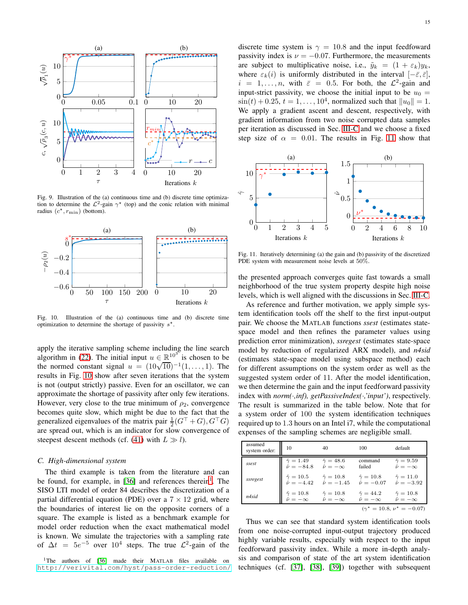

<span id="page-14-0"></span>Fig. 9. Illustration of the (a) continuous time and (b) discrete time optimization to determine the  $\mathcal{L}^2$ -gain  $\gamma^*$  (top) and the conic relation with minimal radius  $(c^*, r_{\text{min}})$  (bottom).



<span id="page-14-1"></span>Fig. 10. Illustration of the (a) continuous time and (b) discrete time optimization to determine the shortage of passivity  $s^*$ .

apply the iterative sampling scheme including the line search algorithm in [\(22\)](#page-6-0). The initial input  $u \in \mathbb{R}^{103}$  is chosen to be the normed constant signal  $u = (10\sqrt{10})^{-1}(1,..., 1)$ . The results in Fig. [10](#page-14-1) show after seven iterations that the system is not (output strictly) passive. Even for an oscillator, we can approximate the shortage of passivity after only few iterations. However, very close to the true minimum of  $\rho_2$ , convergence becomes quite slow, which might be due to the fact that the generalized eigenvalues of the matrix pair  $\frac{1}{2}(G^{\top} + G), G^{\top}G)$ are spread out, which is an indicator for slow convergence of steepest descent methods (cf. [\(41\)](#page-13-1) with  $L \gg l$ ).

#### *C. High-dimensional system*

The third example is taken from the literature and can be found, for example, in [\[36\]](#page-15-36) and references therein<sup>[1](#page-14-2)</sup>. The SISO LTI model of order 84 describes the discretization of a partial differential equation (PDE) over a  $7 \times 12$  grid, where the boundaries of interest lie on the opposite corners of a square. The example is listed as a benchmark example for model order reduction when the exact mathematical model is known. We simulate the trajectories with a sampling rate of  $\Delta t = 5e^{-5}$  over  $10^4$  steps. The true  $\mathcal{L}^2$ -gain of the

<span id="page-14-2"></span><sup>1</sup>The authors of [\[36\]](#page-15-36) made their MATLAB files available on <http://verivital.com/hyst/pass-order-reduction/> discrete time system is  $\gamma = 10.8$  and the input feedfoward passivity index is  $\nu = -0.07$ . Furthermore, the measurements are subject to multiplicative noise, i.e.,  $\tilde{y}_k = (1 + \varepsilon_k) y_k$ , where  $\varepsilon_k(i)$  is uniformly distributed in the interval  $[-\bar{\varepsilon}, \bar{\varepsilon}]$ ,  $i = 1, \dots, n$ , with  $\bar{\varepsilon} = 0.5$ . For both, the  $\mathcal{L}^2$ -gain and input-strict passivity, we choose the initial input to be  $u_0 =$  $\sin(t) + 0.25$ ,  $t = 1, ..., 10^4$ , normalized such that  $||u_0|| = 1$ . We apply a gradient ascent and descent, respectively, with gradient information from two noise corrupted data samples

per iteration as discussed in Sec. [III-C](#page-12-4) and we choose a fixed step size of  $\alpha = 0.01$ . The results in Fig. [11](#page-14-3) show that 5 10 ∗ (a) ˆγ1 1.5  $(h)$ ˆν



<span id="page-14-3"></span>Fig. 11. Iteratively determining (a) the gain and (b) passivity of the discretized PDE system with measurement noise levels at 50%.

the presented approach converges quite fast towards a small neighborhood of the true system property despite high noise levels, which is well aligned with the discussions in Sec. [III-C.](#page-12-4)

As reference and further motivation, we apply simple system identification tools off the shelf to the first input-output pair. We choose the MATLAB functions *ssest* (estimates statespace model and then refines the parameter values using prediction error minimization), *ssregest* (estimates state-space model by reduction of regularized ARX model), and *n4sid* (estimates state-space model using subspace method) each for different assumptions on the system order as well as the suggested system order of 11. After the model identification, we then determine the gain and the input feedforward passivity index with *norm(*·*,inf), getPassiveIndex(*·*,'input')*, respectively. The result is summarized in the table below. Note that for a system order of 100 the system identification techniques required up to 1.3 hours on an Intel i7, while the computational expenses of the sampling schemes are negligible small.

| assumed<br>system order:           | 10                                             | 40                                                                                     | 100                                          | default                                        |
|------------------------------------|------------------------------------------------|----------------------------------------------------------------------------------------|----------------------------------------------|------------------------------------------------|
| ssest                              | $\hat{\gamma} = 1.49$<br>$\hat{\nu} = -84.8$   | $\hat{\gamma} = 48.6$<br>$\hat{\nu}=-\infty$                                           | command<br>failed                            | $\hat{\gamma} = 9.59$<br>$\hat{\nu} = -\infty$ |
| ssregest                           |                                                | $\hat{\gamma} = 10.5$ $\hat{\gamma} = 10.8$<br>$\hat{\nu} = -4.42$ $\hat{\nu} = -1.45$ | $\hat{\gamma} = 10.8$<br>$\hat{\nu} = -0.07$ | $\hat{\gamma} = 11.0$<br>$\hat{\nu} = -3.92$   |
| n4sid                              | $\hat{\gamma} = 10.8$<br>$\hat{\nu} = -\infty$ | $\hat{\gamma} = 10.8$<br>$\hat{\nu} = -\infty$                                         | $\hat{\gamma} = 44.2$<br>$\hat{\nu}=-\infty$ | $\hat{\gamma} = 10.8$<br>$\hat{\nu} = -\infty$ |
| $(\gamma^* = 10.8, \nu^* = -0.07)$ |                                                |                                                                                        |                                              |                                                |

Thus we can see that standard system identification tools from one noise-corrupted input-output trajectory produced highly variable results, especially with respect to the input feedforward passivity index. While a more in-depth analysis and comparison of state of the art system identification techniques (cf. [\[37\]](#page-15-37), [\[38\]](#page-15-38), [\[39\]](#page-15-39)) together with subsequent